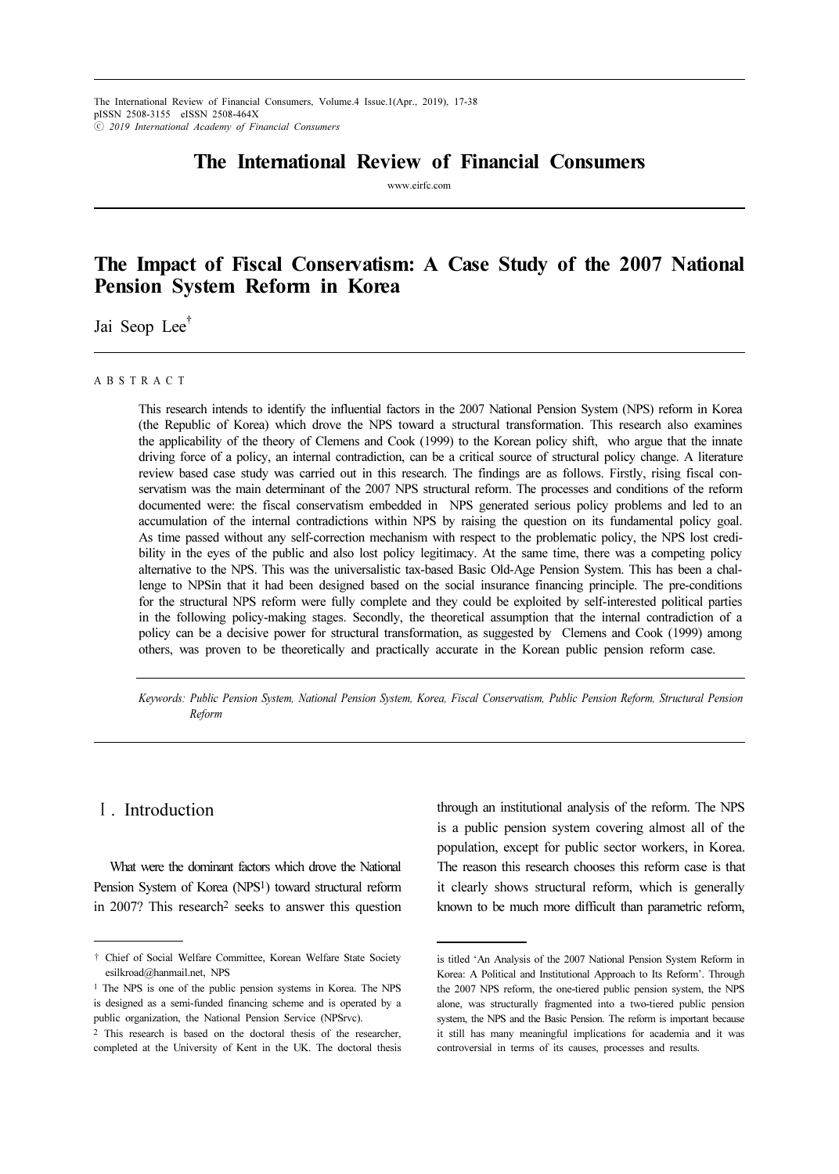# The International Review of Financial Consumers

www.eirfc.com

# The Impact of Fiscal Conservatism: A Case Study of the 2007 National Pension System Reform in Korea

Jai Seop Lee<sup>†</sup>

#### A B S T R A C T

This research intends to identify the influential factors in the 2007 National Pension System (NPS) reform in Korea (the Republic of Korea) which drove the NPS toward a structural transformation. This research also examines the applicability of the theory of Clemens and Cook (1999) to the Korean policy shift, who argue that the innate driving force of a policy, an internal contradiction, can be a critical source of structural policy change. A literature review based case study was carried out in this research. The findings are as follows. Firstly, rising fiscal conservatism was the main determinant of the 2007 NPS structural reform. The processes and conditions of the reform documented were: the fiscal conservatism embedded in NPS generated serious policy problems and led to an accumulation of the internal contradictions within NPS by raising the question on its fundamental policy goal. As time passed without any self-correction mechanism with respect to the problematic policy, the NPS lost credibility in the eyes of the public and also lost policy legitimacy. At the same time, there was a competing policy alternative to the NPS. This was the universalistic tax-based Basic Old-Age Pension System. This has been a challenge to NPSin that it had been designed based on the social insurance financing principle. The pre-conditions for the structural NPS reform were fully complete and they could be exploited by self-interested political parties in the following policy-making stages. Secondly, the theoretical assumption that the internal contradiction of a policy can be a decisive power for structural transformation, as suggested by Clemens and Cook (1999) among others, was proven to be theoretically and practically accurate in the Korean public pension reform case.

Keywords: Public Pension System, National Pension System, Korea, Fiscal Conservatism, Public Pension Reform, Structural Pension Reform

## Ⅰ. Introduction

What were the dominant factors which drove the National Pension System of Korea (NPS<sup>1</sup>) toward structural reform in 2007? This research2 seeks to answer this question through an institutional analysis of the reform. The NPS is a public pension system covering almost all of the population, except for public sector workers, in Korea. The reason this research chooses this reform case is that it clearly shows structural reform, which is generally known to be much more difficult than parametric reform,

<sup>†</sup> Chief of Social Welfare Committee, Korean Welfare State Society esilkroad@hanmail.net, NPS

<sup>1</sup> The NPS is one of the public pension systems in Korea. The NPS is designed as a semi-funded financing scheme and is operated by a public organization, the National Pension Service (NPSrvc).

<sup>2</sup> This research is based on the doctoral thesis of the researcher, completed at the University of Kent in the UK. The doctoral thesis

is titled 'An Analysis of the 2007 National Pension System Reform in Korea: A Political and Institutional Approach to Its Reform'. Through the 2007 NPS reform, the one-tiered public pension system, the NPS alone, was structurally fragmented into a two-tiered public pension system, the NPS and the Basic Pension. The reform is important because it still has many meaningful implications for academia and it was controversial in terms of its causes, processes and results.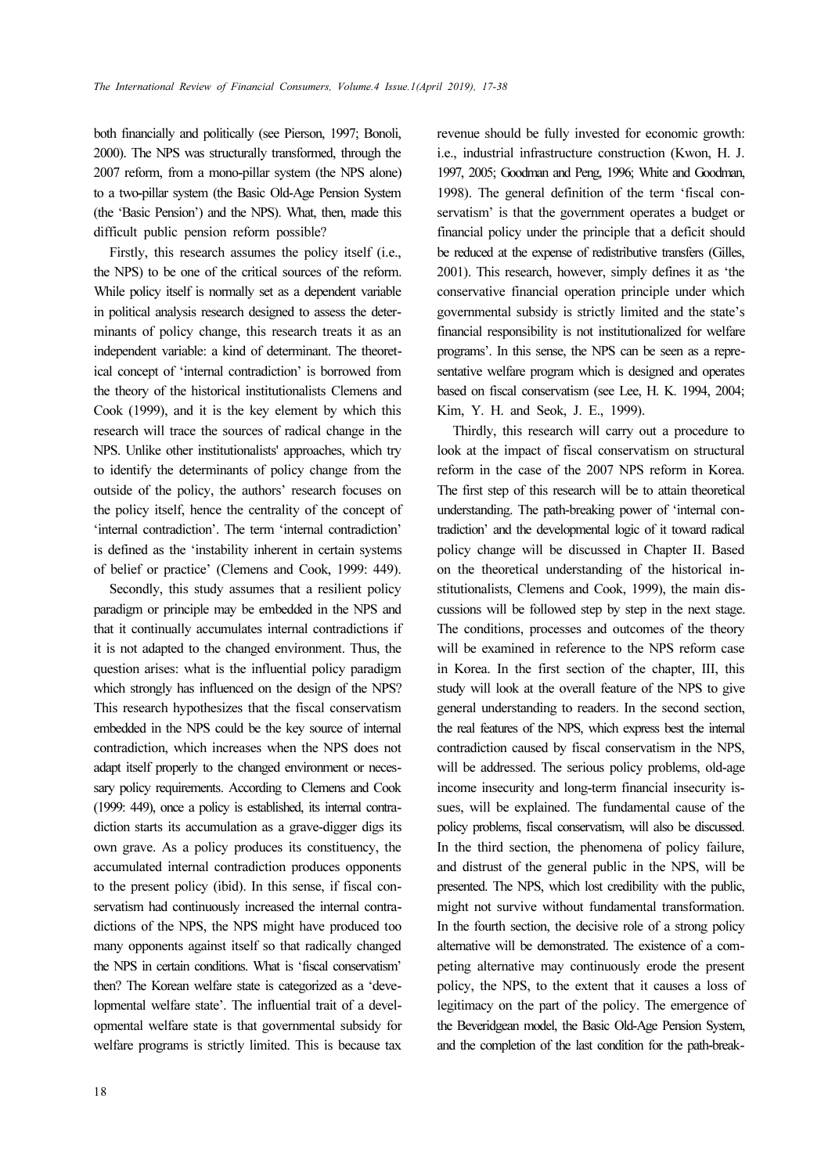both financially and politically (see Pierson, 1997; Bonoli, 2000). The NPS was structurally transformed, through the 2007 reform, from a mono-pillar system (the NPS alone) to a two-pillar system (the Basic Old-Age Pension System (the 'Basic Pension') and the NPS). What, then, made this difficult public pension reform possible?

Firstly, this research assumes the policy itself (i.e., the NPS) to be one of the critical sources of the reform. While policy itself is normally set as a dependent variable in political analysis research designed to assess the determinants of policy change, this research treats it as an independent variable: a kind of determinant. The theoretical concept of 'internal contradiction' is borrowed from the theory of the historical institutionalists Clemens and Cook (1999), and it is the key element by which this research will trace the sources of radical change in the NPS. Unlike other institutionalists' approaches, which try to identify the determinants of policy change from the outside of the policy, the authors' research focuses on the policy itself, hence the centrality of the concept of 'internal contradiction'. The term 'internal contradiction' is defined as the 'instability inherent in certain systems of belief or practice' (Clemens and Cook, 1999: 449).

Secondly, this study assumes that a resilient policy paradigm or principle may be embedded in the NPS and that it continually accumulates internal contradictions if it is not adapted to the changed environment. Thus, the question arises: what is the influential policy paradigm which strongly has influenced on the design of the NPS? This research hypothesizes that the fiscal conservatism embedded in the NPS could be the key source of internal contradiction, which increases when the NPS does not adapt itself properly to the changed environment or necessary policy requirements. According to Clemens and Cook (1999: 449), once a policy is established, its internal contradiction starts its accumulation as a grave-digger digs its own grave. As a policy produces its constituency, the accumulated internal contradiction produces opponents to the present policy (ibid). In this sense, if fiscal conservatism had continuously increased the internal contradictions of the NPS, the NPS might have produced too many opponents against itself so that radically changed the NPS in certain conditions. What is 'fiscal conservatism' then? The Korean welfare state is categorized as a 'developmental welfare state'. The influential trait of a developmental welfare state is that governmental subsidy for welfare programs is strictly limited. This is because tax

revenue should be fully invested for economic growth: i.e., industrial infrastructure construction (Kwon, H. J. 1997, 2005; Goodman and Peng, 1996; White and Goodman, 1998). The general definition of the term 'fiscal conservatism' is that the government operates a budget or financial policy under the principle that a deficit should be reduced at the expense of redistributive transfers (Gilles, 2001). This research, however, simply defines it as 'the conservative financial operation principle under which governmental subsidy is strictly limited and the state's financial responsibility is not institutionalized for welfare programs'. In this sense, the NPS can be seen as a representative welfare program which is designed and operates based on fiscal conservatism (see Lee, H. K. 1994, 2004; Kim, Y. H. and Seok, J. E., 1999).

Thirdly, this research will carry out a procedure to look at the impact of fiscal conservatism on structural reform in the case of the 2007 NPS reform in Korea. The first step of this research will be to attain theoretical understanding. The path-breaking power of 'internal contradiction' and the developmental logic of it toward radical policy change will be discussed in Chapter II. Based on the theoretical understanding of the historical institutionalists, Clemens and Cook, 1999), the main discussions will be followed step by step in the next stage. The conditions, processes and outcomes of the theory will be examined in reference to the NPS reform case in Korea. In the first section of the chapter, III, this study will look at the overall feature of the NPS to give general understanding to readers. In the second section, the real features of the NPS, which express best the internal contradiction caused by fiscal conservatism in the NPS, will be addressed. The serious policy problems, old-age income insecurity and long-term financial insecurity issues, will be explained. The fundamental cause of the policy problems, fiscal conservatism, will also be discussed. In the third section, the phenomena of policy failure, and distrust of the general public in the NPS, will be presented. The NPS, which lost credibility with the public, might not survive without fundamental transformation. In the fourth section, the decisive role of a strong policy alternative will be demonstrated. The existence of a competing alternative may continuously erode the present policy, the NPS, to the extent that it causes a loss of legitimacy on the part of the policy. The emergence of the Beveridgean model, the Basic Old-Age Pension System, and the completion of the last condition for the path-break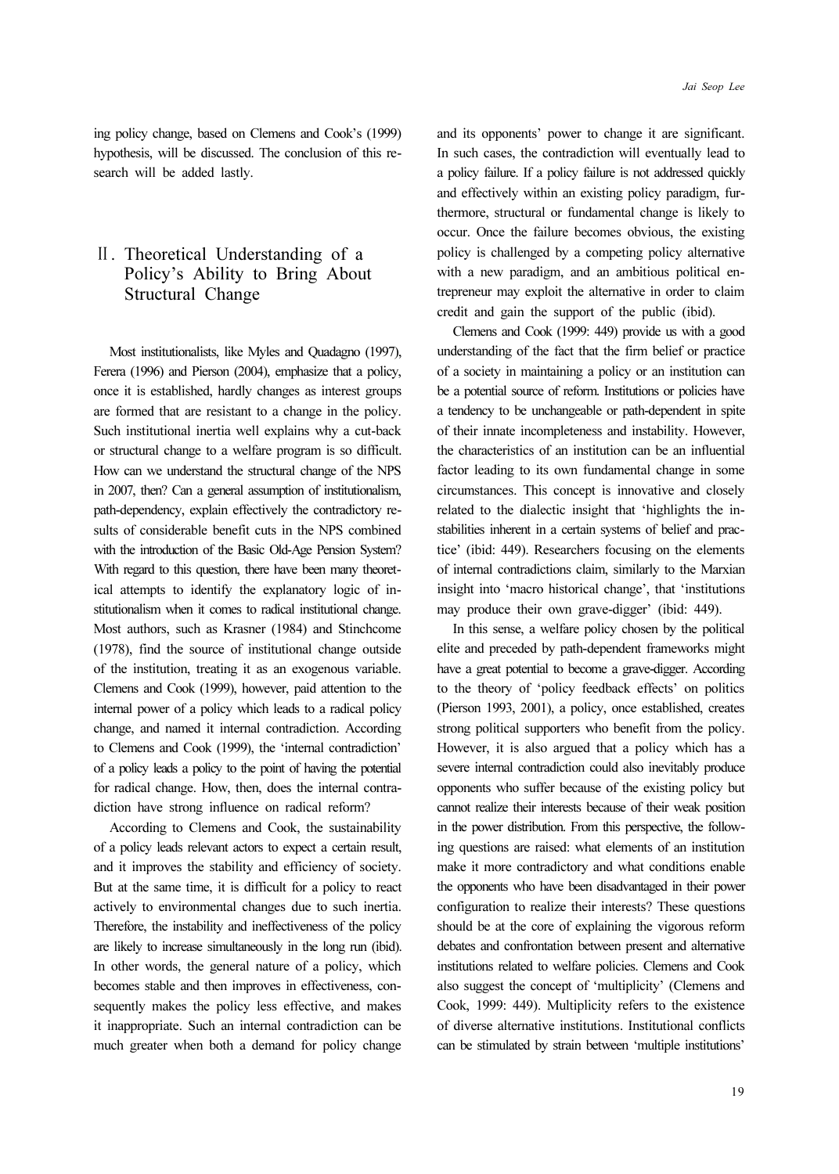ing policy change, based on Clemens and Cook's (1999) hypothesis, will be discussed. The conclusion of this research will be added lastly.

# Ⅱ. Theoretical Understanding of a Policy's Ability to Bring About Structural Change

Most institutionalists, like Myles and Quadagno (1997), Ferera (1996) and Pierson (2004), emphasize that a policy, once it is established, hardly changes as interest groups are formed that are resistant to a change in the policy. Such institutional inertia well explains why a cut-back or structural change to a welfare program is so difficult. How can we understand the structural change of the NPS in 2007, then? Can a general assumption of institutionalism, path-dependency, explain effectively the contradictory results of considerable benefit cuts in the NPS combined with the introduction of the Basic Old-Age Pension System? With regard to this question, there have been many theoretical attempts to identify the explanatory logic of institutionalism when it comes to radical institutional change. Most authors, such as Krasner (1984) and Stinchcome (1978), find the source of institutional change outside of the institution, treating it as an exogenous variable. Clemens and Cook (1999), however, paid attention to the internal power of a policy which leads to a radical policy change, and named it internal contradiction. According to Clemens and Cook (1999), the 'internal contradiction' of a policy leads a policy to the point of having the potential for radical change. How, then, does the internal contradiction have strong influence on radical reform?

According to Clemens and Cook, the sustainability of a policy leads relevant actors to expect a certain result, and it improves the stability and efficiency of society. But at the same time, it is difficult for a policy to react actively to environmental changes due to such inertia. Therefore, the instability and ineffectiveness of the policy are likely to increase simultaneously in the long run (ibid). In other words, the general nature of a policy, which becomes stable and then improves in effectiveness, consequently makes the policy less effective, and makes it inappropriate. Such an internal contradiction can be much greater when both a demand for policy change and its opponents' power to change it are significant. In such cases, the contradiction will eventually lead to a policy failure. If a policy failure is not addressed quickly and effectively within an existing policy paradigm, furthermore, structural or fundamental change is likely to occur. Once the failure becomes obvious, the existing policy is challenged by a competing policy alternative with a new paradigm, and an ambitious political entrepreneur may exploit the alternative in order to claim credit and gain the support of the public (ibid).

Clemens and Cook (1999: 449) provide us with a good understanding of the fact that the firm belief or practice of a society in maintaining a policy or an institution can be a potential source of reform. Institutions or policies have a tendency to be unchangeable or path-dependent in spite of their innate incompleteness and instability. However, the characteristics of an institution can be an influential factor leading to its own fundamental change in some circumstances. This concept is innovative and closely related to the dialectic insight that 'highlights the instabilities inherent in a certain systems of belief and practice' (ibid: 449). Researchers focusing on the elements of internal contradictions claim, similarly to the Marxian insight into 'macro historical change', that 'institutions may produce their own grave-digger' (ibid: 449).

In this sense, a welfare policy chosen by the political elite and preceded by path-dependent frameworks might have a great potential to become a grave-digger. According to the theory of 'policy feedback effects' on politics (Pierson 1993, 2001), a policy, once established, creates strong political supporters who benefit from the policy. However, it is also argued that a policy which has a severe internal contradiction could also inevitably produce opponents who suffer because of the existing policy but cannot realize their interests because of their weak position in the power distribution. From this perspective, the following questions are raised: what elements of an institution make it more contradictory and what conditions enable the opponents who have been disadvantaged in their power configuration to realize their interests? These questions should be at the core of explaining the vigorous reform debates and confrontation between present and alternative institutions related to welfare policies. Clemens and Cook also suggest the concept of 'multiplicity' (Clemens and Cook, 1999: 449). Multiplicity refers to the existence of diverse alternative institutions. Institutional conflicts can be stimulated by strain between 'multiple institutions'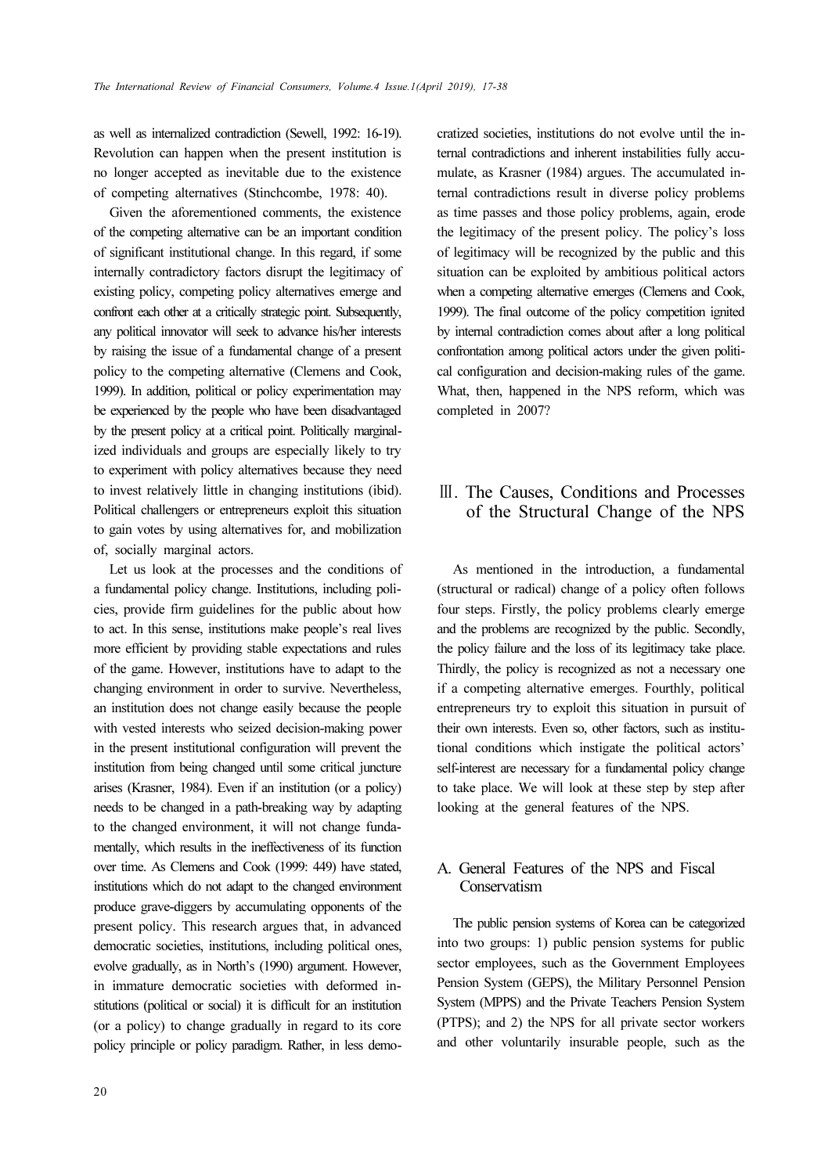as well as internalized contradiction (Sewell, 1992: 16-19). Revolution can happen when the present institution is no longer accepted as inevitable due to the existence of competing alternatives (Stinchcombe, 1978: 40).

Given the aforementioned comments, the existence of the competing alternative can be an important condition of significant institutional change. In this regard, if some internally contradictory factors disrupt the legitimacy of existing policy, competing policy alternatives emerge and confront each other at a critically strategic point. Subsequently, any political innovator will seek to advance his/her interests by raising the issue of a fundamental change of a present policy to the competing alternative (Clemens and Cook, 1999). In addition, political or policy experimentation may be experienced by the people who have been disadvantaged by the present policy at a critical point. Politically marginalized individuals and groups are especially likely to try to experiment with policy alternatives because they need to invest relatively little in changing institutions (ibid). Political challengers or entrepreneurs exploit this situation to gain votes by using alternatives for, and mobilization of, socially marginal actors.

Let us look at the processes and the conditions of a fundamental policy change. Institutions, including policies, provide firm guidelines for the public about how to act. In this sense, institutions make people's real lives more efficient by providing stable expectations and rules of the game. However, institutions have to adapt to the changing environment in order to survive. Nevertheless, an institution does not change easily because the people with vested interests who seized decision-making power in the present institutional configuration will prevent the institution from being changed until some critical juncture arises (Krasner, 1984). Even if an institution (or a policy) needs to be changed in a path-breaking way by adapting to the changed environment, it will not change fundamentally, which results in the ineffectiveness of its function over time. As Clemens and Cook (1999: 449) have stated, institutions which do not adapt to the changed environment produce grave-diggers by accumulating opponents of the present policy. This research argues that, in advanced democratic societies, institutions, including political ones, evolve gradually, as in North's (1990) argument. However, in immature democratic societies with deformed institutions (political or social) it is difficult for an institution (or a policy) to change gradually in regard to its core policy principle or policy paradigm. Rather, in less democratized societies, institutions do not evolve until the internal contradictions and inherent instabilities fully accumulate, as Krasner (1984) argues. The accumulated internal contradictions result in diverse policy problems as time passes and those policy problems, again, erode the legitimacy of the present policy. The policy's loss of legitimacy will be recognized by the public and this situation can be exploited by ambitious political actors when a competing alternative emerges (Clemens and Cook, 1999). The final outcome of the policy competition ignited by internal contradiction comes about after a long political confrontation among political actors under the given political configuration and decision-making rules of the game. What, then, happened in the NPS reform, which was completed in 2007?

# Ⅲ. The Causes, Conditions and Processes of the Structural Change of the NPS

As mentioned in the introduction, a fundamental (structural or radical) change of a policy often follows four steps. Firstly, the policy problems clearly emerge and the problems are recognized by the public. Secondly, the policy failure and the loss of its legitimacy take place. Thirdly, the policy is recognized as not a necessary one if a competing alternative emerges. Fourthly, political entrepreneurs try to exploit this situation in pursuit of their own interests. Even so, other factors, such as institutional conditions which instigate the political actors' self-interest are necessary for a fundamental policy change to take place. We will look at these step by step after looking at the general features of the NPS.

## A. General Features of the NPS and Fiscal **Conservatism**

The public pension systems of Korea can be categorized into two groups: 1) public pension systems for public sector employees, such as the Government Employees Pension System (GEPS), the Military Personnel Pension System (MPPS) and the Private Teachers Pension System (PTPS); and 2) the NPS for all private sector workers and other voluntarily insurable people, such as the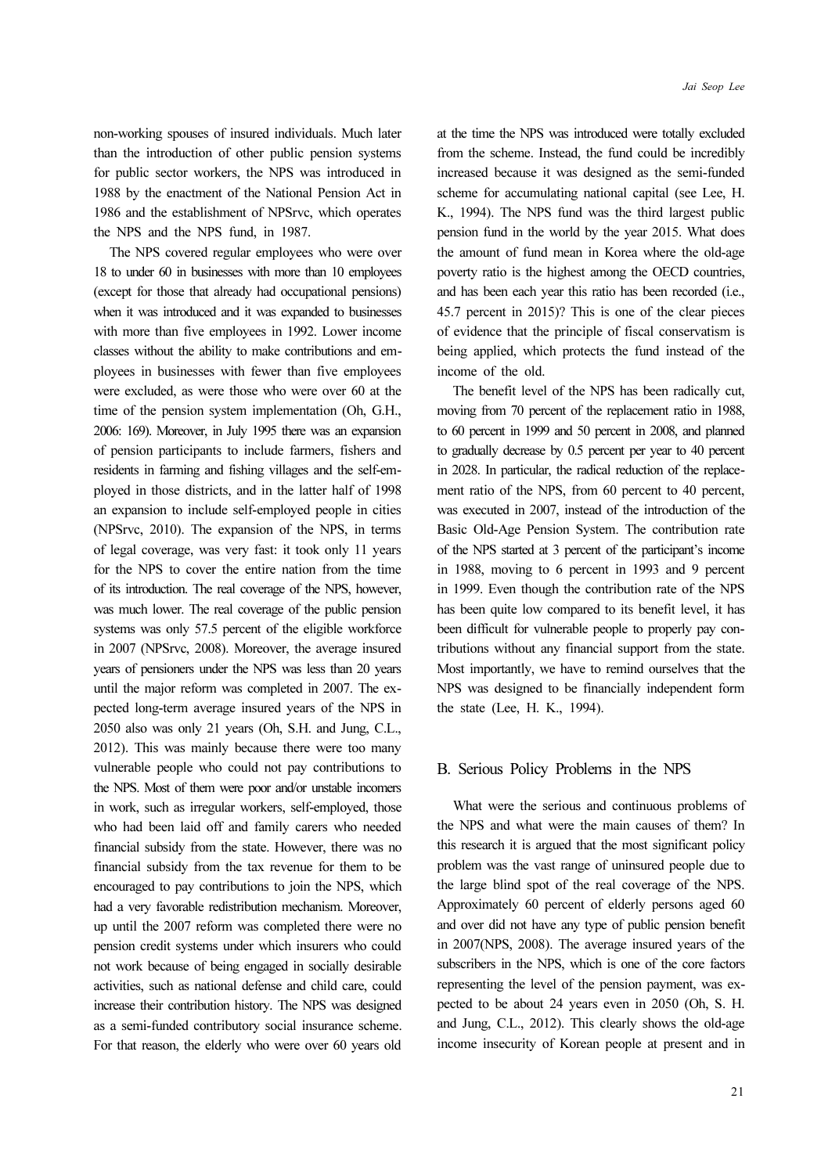non-working spouses of insured individuals. Much later than the introduction of other public pension systems for public sector workers, the NPS was introduced in 1988 by the enactment of the National Pension Act in 1986 and the establishment of NPSrvc, which operates the NPS and the NPS fund, in 1987.

The NPS covered regular employees who were over 18 to under 60 in businesses with more than 10 employees (except for those that already had occupational pensions) when it was introduced and it was expanded to businesses with more than five employees in 1992. Lower income classes without the ability to make contributions and employees in businesses with fewer than five employees were excluded, as were those who were over 60 at the time of the pension system implementation (Oh, G.H., 2006: 169). Moreover, in July 1995 there was an expansion of pension participants to include farmers, fishers and residents in farming and fishing villages and the self-employed in those districts, and in the latter half of 1998 an expansion to include self-employed people in cities (NPSrvc, 2010). The expansion of the NPS, in terms of legal coverage, was very fast: it took only 11 years for the NPS to cover the entire nation from the time of its introduction. The real coverage of the NPS, however, was much lower. The real coverage of the public pension systems was only 57.5 percent of the eligible workforce in 2007 (NPSrvc, 2008). Moreover, the average insured years of pensioners under the NPS was less than 20 years until the major reform was completed in 2007. The expected long-term average insured years of the NPS in 2050 also was only 21 years (Oh, S.H. and Jung, C.L., 2012). This was mainly because there were too many vulnerable people who could not pay contributions to the NPS. Most of them were poor and/or unstable incomers in work, such as irregular workers, self-employed, those who had been laid off and family carers who needed financial subsidy from the state. However, there was no financial subsidy from the tax revenue for them to be encouraged to pay contributions to join the NPS, which had a very favorable redistribution mechanism. Moreover, up until the 2007 reform was completed there were no pension credit systems under which insurers who could not work because of being engaged in socially desirable activities, such as national defense and child care, could increase their contribution history. The NPS was designed as a semi-funded contributory social insurance scheme. For that reason, the elderly who were over 60 years old

21

at the time the NPS was introduced were totally excluded from the scheme. Instead, the fund could be incredibly increased because it was designed as the semi-funded scheme for accumulating national capital (see Lee, H. K., 1994). The NPS fund was the third largest public pension fund in the world by the year 2015. What does the amount of fund mean in Korea where the old-age poverty ratio is the highest among the OECD countries, and has been each year this ratio has been recorded (i.e., 45.7 percent in 2015)? This is one of the clear pieces of evidence that the principle of fiscal conservatism is being applied, which protects the fund instead of the income of the old.

The benefit level of the NPS has been radically cut, moving from 70 percent of the replacement ratio in 1988, to 60 percent in 1999 and 50 percent in 2008, and planned to gradually decrease by 0.5 percent per year to 40 percent in 2028. In particular, the radical reduction of the replacement ratio of the NPS, from 60 percent to 40 percent, was executed in 2007, instead of the introduction of the Basic Old-Age Pension System. The contribution rate of the NPS started at 3 percent of the participant's income in 1988, moving to 6 percent in 1993 and 9 percent in 1999. Even though the contribution rate of the NPS has been quite low compared to its benefit level, it has been difficult for vulnerable people to properly pay contributions without any financial support from the state. Most importantly, we have to remind ourselves that the NPS was designed to be financially independent form the state (Lee, H. K., 1994).

### B. Serious Policy Problems in the NPS

What were the serious and continuous problems of the NPS and what were the main causes of them? In this research it is argued that the most significant policy problem was the vast range of uninsured people due to the large blind spot of the real coverage of the NPS. Approximately 60 percent of elderly persons aged 60 and over did not have any type of public pension benefit in 2007(NPS, 2008). The average insured years of the subscribers in the NPS, which is one of the core factors representing the level of the pension payment, was expected to be about 24 years even in 2050 (Oh, S. H. and Jung, C.L., 2012). This clearly shows the old-age income insecurity of Korean people at present and in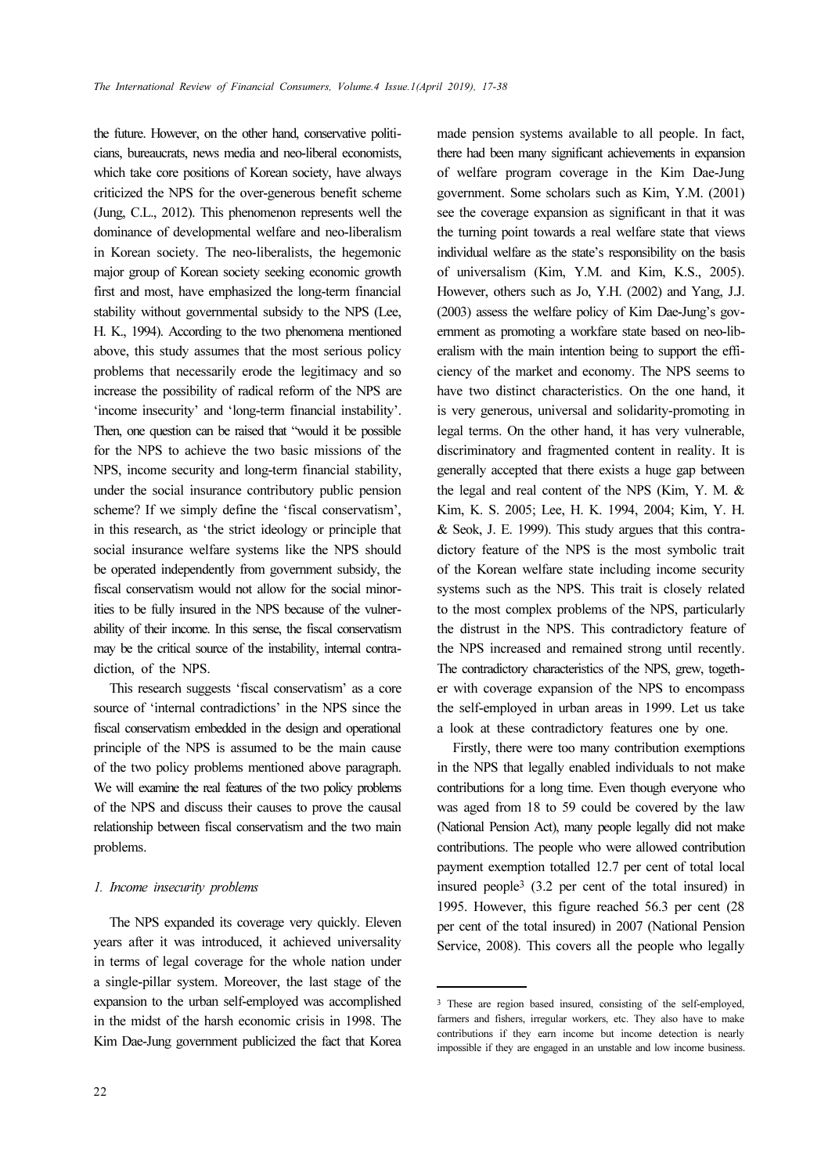the future. However, on the other hand, conservative politicians, bureaucrats, news media and neo-liberal economists, which take core positions of Korean society, have always criticized the NPS for the over-generous benefit scheme (Jung, C.L., 2012). This phenomenon represents well the dominance of developmental welfare and neo-liberalism in Korean society. The neo-liberalists, the hegemonic major group of Korean society seeking economic growth first and most, have emphasized the long-term financial stability without governmental subsidy to the NPS (Lee, H. K., 1994). According to the two phenomena mentioned above, this study assumes that the most serious policy problems that necessarily erode the legitimacy and so increase the possibility of radical reform of the NPS are 'income insecurity' and 'long-term financial instability'. Then, one question can be raised that "would it be possible for the NPS to achieve the two basic missions of the NPS, income security and long-term financial stability, under the social insurance contributory public pension scheme? If we simply define the 'fiscal conservatism', in this research, as 'the strict ideology or principle that social insurance welfare systems like the NPS should be operated independently from government subsidy, the fiscal conservatism would not allow for the social minorities to be fully insured in the NPS because of the vulnerability of their income. In this sense, the fiscal conservatism may be the critical source of the instability, internal contradiction, of the NPS.

This research suggests 'fiscal conservatism' as a core source of 'internal contradictions' in the NPS since the fiscal conservatism embedded in the design and operational principle of the NPS is assumed to be the main cause of the two policy problems mentioned above paragraph. We will examine the real features of the two policy problems of the NPS and discuss their causes to prove the causal relationship between fiscal conservatism and the two main problems.

### 1. Income insecurity problems

The NPS expanded its coverage very quickly. Eleven years after it was introduced, it achieved universality in terms of legal coverage for the whole nation under a single-pillar system. Moreover, the last stage of the expansion to the urban self-employed was accomplished in the midst of the harsh economic crisis in 1998. The Kim Dae-Jung government publicized the fact that Korea made pension systems available to all people. In fact, there had been many significant achievements in expansion of welfare program coverage in the Kim Dae-Jung government. Some scholars such as Kim, Y.M. (2001) see the coverage expansion as significant in that it was the turning point towards a real welfare state that views individual welfare as the state's responsibility on the basis of universalism (Kim, Y.M. and Kim, K.S., 2005). However, others such as Jo, Y.H. (2002) and Yang, J.J. (2003) assess the welfare policy of Kim Dae-Jung's government as promoting a workfare state based on neo-liberalism with the main intention being to support the efficiency of the market and economy. The NPS seems to have two distinct characteristics. On the one hand, it is very generous, universal and solidarity-promoting in legal terms. On the other hand, it has very vulnerable, discriminatory and fragmented content in reality. It is generally accepted that there exists a huge gap between the legal and real content of the NPS (Kim, Y. M. & Kim, K. S. 2005; Lee, H. K. 1994, 2004; Kim, Y. H. & Seok, J. E. 1999). This study argues that this contradictory feature of the NPS is the most symbolic trait of the Korean welfare state including income security systems such as the NPS. This trait is closely related to the most complex problems of the NPS, particularly the distrust in the NPS. This contradictory feature of the NPS increased and remained strong until recently. The contradictory characteristics of the NPS, grew, together with coverage expansion of the NPS to encompass the self-employed in urban areas in 1999. Let us take a look at these contradictory features one by one.

Firstly, there were too many contribution exemptions in the NPS that legally enabled individuals to not make contributions for a long time. Even though everyone who was aged from 18 to 59 could be covered by the law (National Pension Act), many people legally did not make contributions. The people who were allowed contribution payment exemption totalled 12.7 per cent of total local insured people3 (3.2 per cent of the total insured) in 1995. However, this figure reached 56.3 per cent (28 per cent of the total insured) in 2007 (National Pension Service, 2008). This covers all the people who legally

<sup>3</sup> These are region based insured, consisting of the self-employed, farmers and fishers, irregular workers, etc. They also have to make contributions if they earn income but income detection is nearly impossible if they are engaged in an unstable and low income business.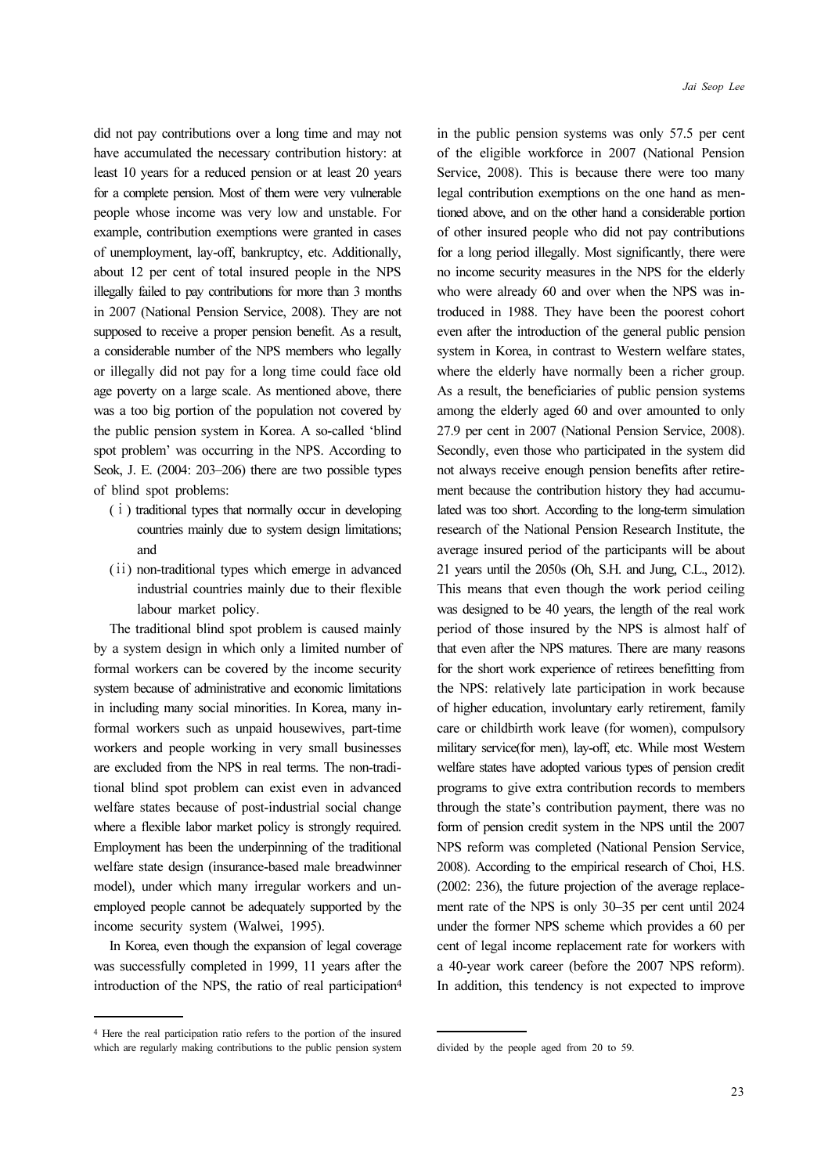did not pay contributions over a long time and may not have accumulated the necessary contribution history: at least 10 years for a reduced pension or at least 20 years for a complete pension. Most of them were very vulnerable people whose income was very low and unstable. For example, contribution exemptions were granted in cases of unemployment, lay-off, bankruptcy, etc. Additionally, about 12 per cent of total insured people in the NPS illegally failed to pay contributions for more than 3 months in 2007 (National Pension Service, 2008). They are not supposed to receive a proper pension benefit. As a result, a considerable number of the NPS members who legally or illegally did not pay for a long time could face old age poverty on a large scale. As mentioned above, there was a too big portion of the population not covered by the public pension system in Korea. A so-called 'blind spot problem' was occurring in the NPS. According to Seok, J. E. (2004: 203–206) there are two possible types of blind spot problems:

- (ⅰ) traditional types that normally occur in developing countries mainly due to system design limitations; and
- (ⅱ) non-traditional types which emerge in advanced industrial countries mainly due to their flexible labour market policy.

The traditional blind spot problem is caused mainly by a system design in which only a limited number of formal workers can be covered by the income security system because of administrative and economic limitations in including many social minorities. In Korea, many informal workers such as unpaid housewives, part-time workers and people working in very small businesses are excluded from the NPS in real terms. The non-traditional blind spot problem can exist even in advanced welfare states because of post-industrial social change where a flexible labor market policy is strongly required. Employment has been the underpinning of the traditional welfare state design (insurance-based male breadwinner model), under which many irregular workers and unemployed people cannot be adequately supported by the income security system (Walwei, 1995).

In Korea, even though the expansion of legal coverage was successfully completed in 1999, 11 years after the introduction of the NPS, the ratio of real participation<sup>4</sup> in the public pension systems was only 57.5 per cent of the eligible workforce in 2007 (National Pension Service, 2008). This is because there were too many legal contribution exemptions on the one hand as mentioned above, and on the other hand a considerable portion of other insured people who did not pay contributions for a long period illegally. Most significantly, there were no income security measures in the NPS for the elderly who were already 60 and over when the NPS was introduced in 1988. They have been the poorest cohort even after the introduction of the general public pension system in Korea, in contrast to Western welfare states, where the elderly have normally been a richer group. As a result, the beneficiaries of public pension systems among the elderly aged 60 and over amounted to only 27.9 per cent in 2007 (National Pension Service, 2008). Secondly, even those who participated in the system did not always receive enough pension benefits after retirement because the contribution history they had accumulated was too short. According to the long-term simulation research of the National Pension Research Institute, the average insured period of the participants will be about 21 years until the 2050s (Oh, S.H. and Jung, C.L., 2012). This means that even though the work period ceiling was designed to be 40 years, the length of the real work period of those insured by the NPS is almost half of that even after the NPS matures. There are many reasons for the short work experience of retirees benefitting from the NPS: relatively late participation in work because of higher education, involuntary early retirement, family care or childbirth work leave (for women), compulsory military service(for men), lay-off, etc. While most Western welfare states have adopted various types of pension credit programs to give extra contribution records to members through the state's contribution payment, there was no form of pension credit system in the NPS until the 2007 NPS reform was completed (National Pension Service, 2008). According to the empirical research of Choi, H.S. (2002: 236), the future projection of the average replacement rate of the NPS is only 30–35 per cent until 2024 under the former NPS scheme which provides a 60 per cent of legal income replacement rate for workers with a 40-year work career (before the 2007 NPS reform). In addition, this tendency is not expected to improve

<sup>4</sup> Here the real participation ratio refers to the portion of the insured which are regularly making contributions to the public pension system

divided by the people aged from 20 to 59.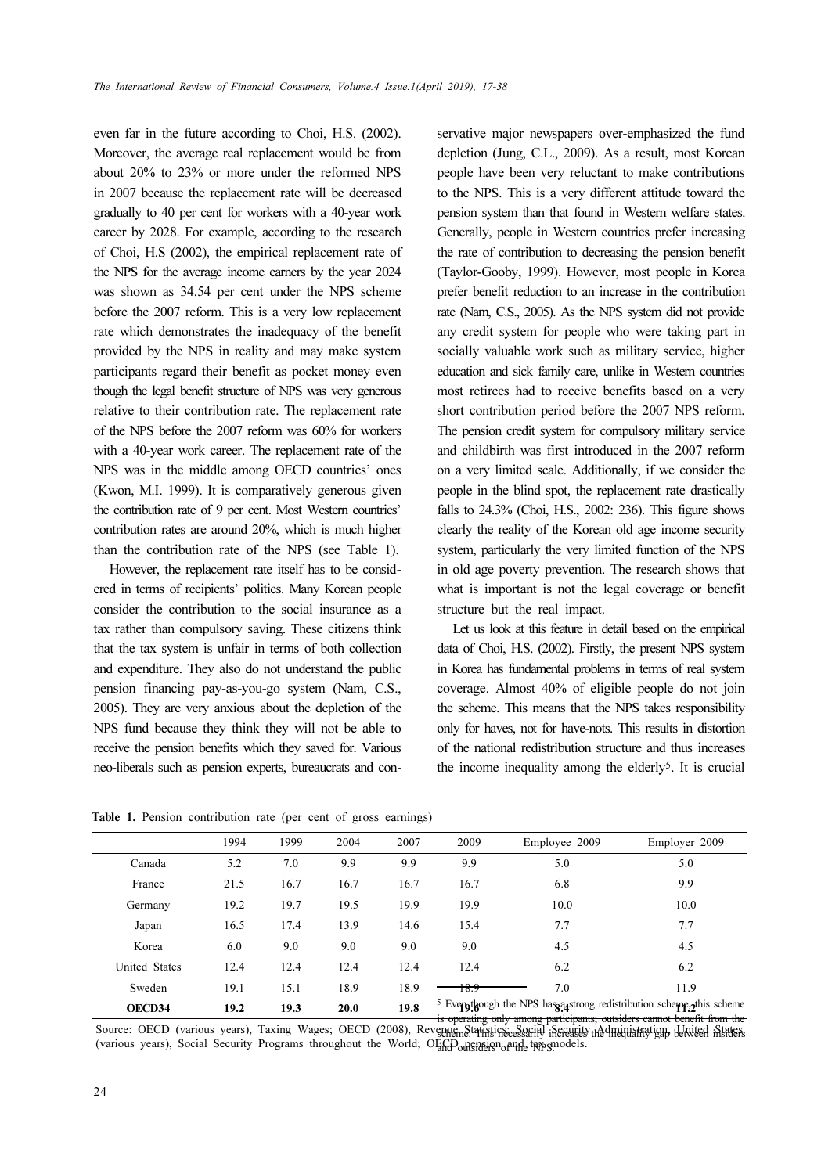even far in the future according to Choi, H.S. (2002). Moreover, the average real replacement would be from about 20% to 23% or more under the reformed NPS in 2007 because the replacement rate will be decreased gradually to 40 per cent for workers with a 40-year work career by 2028. For example, according to the research of Choi, H.S (2002), the empirical replacement rate of the NPS for the average income earners by the year 2024 was shown as 34.54 per cent under the NPS scheme before the 2007 reform. This is a very low replacement rate which demonstrates the inadequacy of the benefit provided by the NPS in reality and may make system participants regard their benefit as pocket money even though the legal benefit structure of NPS was very generous relative to their contribution rate. The replacement rate of the NPS before the 2007 reform was 60% for workers with a 40-year work career. The replacement rate of the NPS was in the middle among OECD countries' ones (Kwon, M.I. 1999). It is comparatively generous given the contribution rate of 9 per cent. Most Western countries' contribution rates are around 20%, which is much higher than the contribution rate of the NPS (see Table 1).

However, the replacement rate itself has to be considered in terms of recipients' politics. Many Korean people consider the contribution to the social insurance as a tax rather than compulsory saving. These citizens think that the tax system is unfair in terms of both collection and expenditure. They also do not understand the public pension financing pay-as-you-go system (Nam, C.S., 2005). They are very anxious about the depletion of the NPS fund because they think they will not be able to receive the pension benefits which they saved for. Various neo-liberals such as pension experts, bureaucrats and conservative major newspapers over-emphasized the fund depletion (Jung, C.L., 2009). As a result, most Korean people have been very reluctant to make contributions to the NPS. This is a very different attitude toward the pension system than that found in Western welfare states. Generally, people in Western countries prefer increasing the rate of contribution to decreasing the pension benefit (Taylor-Gooby, 1999). However, most people in Korea prefer benefit reduction to an increase in the contribution rate (Nam, C.S., 2005). As the NPS system did not provide any credit system for people who were taking part in socially valuable work such as military service, higher education and sick family care, unlike in Western countries most retirees had to receive benefits based on a very short contribution period before the 2007 NPS reform. The pension credit system for compulsory military service and childbirth was first introduced in the 2007 reform on a very limited scale. Additionally, if we consider the people in the blind spot, the replacement rate drastically falls to 24.3% (Choi, H.S., 2002: 236). This figure shows clearly the reality of the Korean old age income security system, particularly the very limited function of the NPS in old age poverty prevention. The research shows that what is important is not the legal coverage or benefit structure but the real impact.

Let us look at this feature in detail based on the empirical data of Choi, H.S. (2002). Firstly, the present NPS system in Korea has fundamental problems in terms of real system coverage. Almost 40% of eligible people do not join the scheme. This means that the NPS takes responsibility only for haves, not for have-nots. This results in distortion of the national redistribution structure and thus increases the income inequality among the elderly5. It is crucial

|  | <b>Table 1.</b> Pension contribution rate (per cent of gross earnings) |  |  |  |  |
|--|------------------------------------------------------------------------|--|--|--|--|
|  |                                                                        |  |  |  |  |

|                      | 1994 | 1999 | 2004 | 2007 | 2009 | Employee 2009 | Employer 2009                                                                    |
|----------------------|------|------|------|------|------|---------------|----------------------------------------------------------------------------------|
| Canada               | 5.2  | 7.0  | 9.9  | 9.9  | 9.9  | 5.0           | 5.0                                                                              |
| France               | 21.5 | 16.7 | 16.7 | 16.7 | 16.7 | 6.8           | 9.9                                                                              |
| Germany              | 19.2 | 19.7 | 19.5 | 19.9 | 19.9 | 10.0          | 10.0                                                                             |
| Japan                | 16.5 | 17.4 | 13.9 | 14.6 | 15.4 | 7.7           | 7.7                                                                              |
| Korea                | 6.0  | 9.0  | 9.0  | 9.0  | 9.0  | 4.5           | 4.5                                                                              |
| <b>United States</b> | 12.4 | 12.4 | 12.4 | 12.4 | 12.4 | 6.2           | 6.2                                                                              |
| Sweden               | 19.1 | 15.1 | 18.9 | 18.9 | 18.9 | 7.0           | 11.9                                                                             |
| OECD34               | 19.2 | 19.3 | 20.0 | 19.8 |      |               | <sup>5</sup> Everythough the NPS has a strong redistribution scheme, this scheme |

is operating only among participants; outsiders cannot benefit from the<br>Source: OECD (various years), Taxing Wages; OECD (2008), Revenue, Statistics; Social Security Administration, United States (various years), Social Security Programs throughout the World; OECD pension and tax-smodels. scheme. This necessarily increases the inequality gap between insiders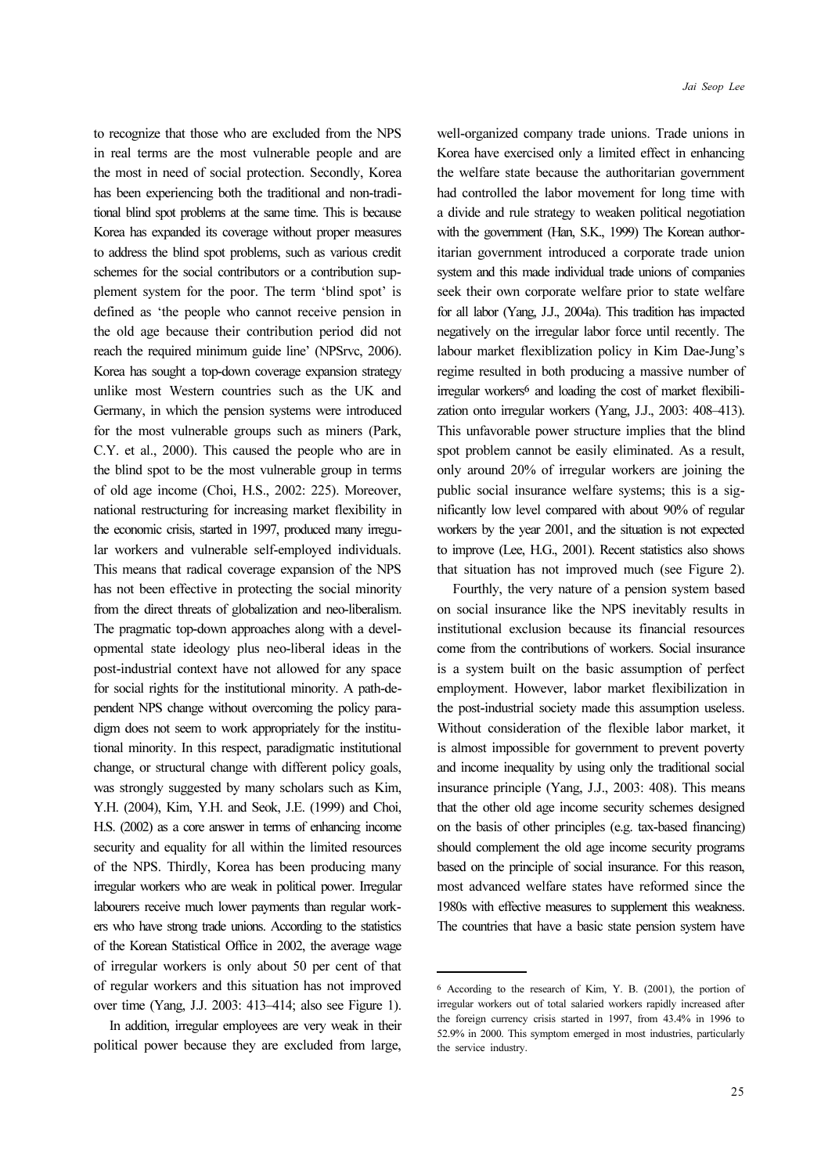Jai Seop Lee

to recognize that those who are excluded from the NPS in real terms are the most vulnerable people and are the most in need of social protection. Secondly, Korea has been experiencing both the traditional and non-traditional blind spot problems at the same time. This is because Korea has expanded its coverage without proper measures to address the blind spot problems, such as various credit schemes for the social contributors or a contribution supplement system for the poor. The term 'blind spot' is defined as 'the people who cannot receive pension in the old age because their contribution period did not reach the required minimum guide line' (NPSrvc, 2006). Korea has sought a top-down coverage expansion strategy unlike most Western countries such as the UK and Germany, in which the pension systems were introduced for the most vulnerable groups such as miners (Park, C.Y. et al., 2000). This caused the people who are in the blind spot to be the most vulnerable group in terms of old age income (Choi, H.S., 2002: 225). Moreover, national restructuring for increasing market flexibility in the economic crisis, started in 1997, produced many irregular workers and vulnerable self-employed individuals. This means that radical coverage expansion of the NPS has not been effective in protecting the social minority from the direct threats of globalization and neo-liberalism. The pragmatic top-down approaches along with a developmental state ideology plus neo-liberal ideas in the post-industrial context have not allowed for any space for social rights for the institutional minority. A path-dependent NPS change without overcoming the policy paradigm does not seem to work appropriately for the institutional minority. In this respect, paradigmatic institutional change, or structural change with different policy goals, was strongly suggested by many scholars such as Kim, Y.H. (2004), Kim, Y.H. and Seok, J.E. (1999) and Choi, H.S. (2002) as a core answer in terms of enhancing income security and equality for all within the limited resources of the NPS. Thirdly, Korea has been producing many irregular workers who are weak in political power. Irregular labourers receive much lower payments than regular workers who have strong trade unions. According to the statistics of the Korean Statistical Office in 2002, the average wage of irregular workers is only about 50 per cent of that of regular workers and this situation has not improved over time (Yang, J.J. 2003: 413–414; also see Figure 1).

In addition, irregular employees are very weak in their political power because they are excluded from large, well-organized company trade unions. Trade unions in Korea have exercised only a limited effect in enhancing the welfare state because the authoritarian government had controlled the labor movement for long time with a divide and rule strategy to weaken political negotiation with the government (Han, S.K., 1999) The Korean authoritarian government introduced a corporate trade union system and this made individual trade unions of companies seek their own corporate welfare prior to state welfare for all labor (Yang, J.J., 2004a). This tradition has impacted negatively on the irregular labor force until recently. The labour market flexiblization policy in Kim Dae-Jung's regime resulted in both producing a massive number of irregular workers<sup>6</sup> and loading the cost of market flexibilization onto irregular workers (Yang, J.J., 2003: 408–413). This unfavorable power structure implies that the blind spot problem cannot be easily eliminated. As a result, only around 20% of irregular workers are joining the public social insurance welfare systems; this is a significantly low level compared with about 90% of regular workers by the year 2001, and the situation is not expected to improve (Lee, H.G., 2001). Recent statistics also shows that situation has not improved much (see Figure 2).

Fourthly, the very nature of a pension system based on social insurance like the NPS inevitably results in institutional exclusion because its financial resources come from the contributions of workers. Social insurance is a system built on the basic assumption of perfect employment. However, labor market flexibilization in the post-industrial society made this assumption useless. Without consideration of the flexible labor market, it is almost impossible for government to prevent poverty and income inequality by using only the traditional social insurance principle (Yang, J.J., 2003: 408). This means that the other old age income security schemes designed on the basis of other principles (e.g. tax-based financing) should complement the old age income security programs based on the principle of social insurance. For this reason, most advanced welfare states have reformed since the 1980s with effective measures to supplement this weakness. The countries that have a basic state pension system have

<sup>6</sup> According to the research of Kim, Y. B. (2001), the portion of irregular workers out of total salaried workers rapidly increased after the foreign currency crisis started in 1997, from 43.4% in 1996 to 52.9% in 2000. This symptom emerged in most industries, particularly the service industry.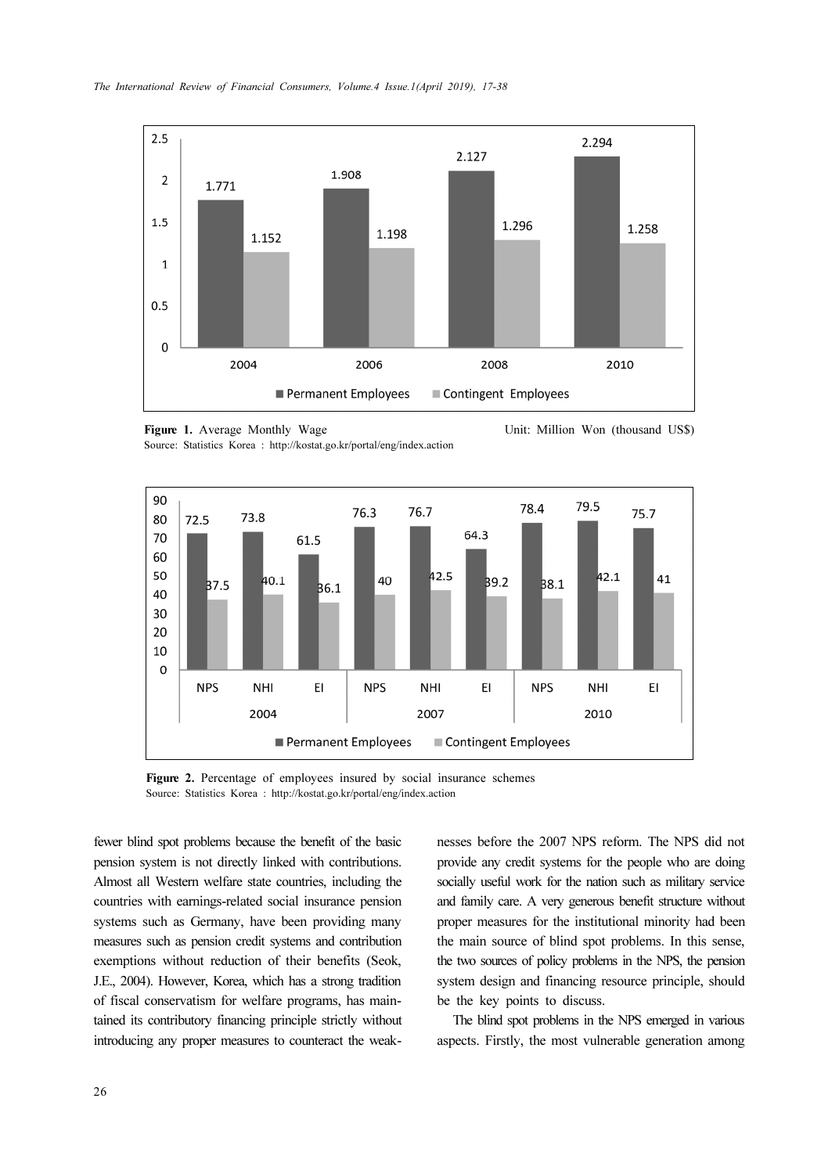

Figure 1. Average Monthly Wage <br>Source: Statistics Korea : http://kostat.go.kr/portal/eng/index.action Unit: Million Won (thousand US\$)



Figure 2. Percentage of employees insured by social insurance schemes Source: Statistics Korea : http://kostat.go.kr/portal/eng/index.action

fewer blind spot problems because the benefit of the basic pension system is not directly linked with contributions. Almost all Western welfare state countries, including the countries with earnings-related social insurance pension systems such as Germany, have been providing many measures such as pension credit systems and contribution exemptions without reduction of their benefits (Seok, J.E., 2004). However, Korea, which has a strong tradition of fiscal conservatism for welfare programs, has maintained its contributory financing principle strictly without introducing any proper measures to counteract the weaknesses before the 2007 NPS reform. The NPS did not provide any credit systems for the people who are doing socially useful work for the nation such as military service and family care. A very generous benefit structure without proper measures for the institutional minority had been the main source of blind spot problems. In this sense, the two sources of policy problems in the NPS, the pension system design and financing resource principle, should be the key points to discuss.

The blind spot problems in the NPS emerged in various aspects. Firstly, the most vulnerable generation among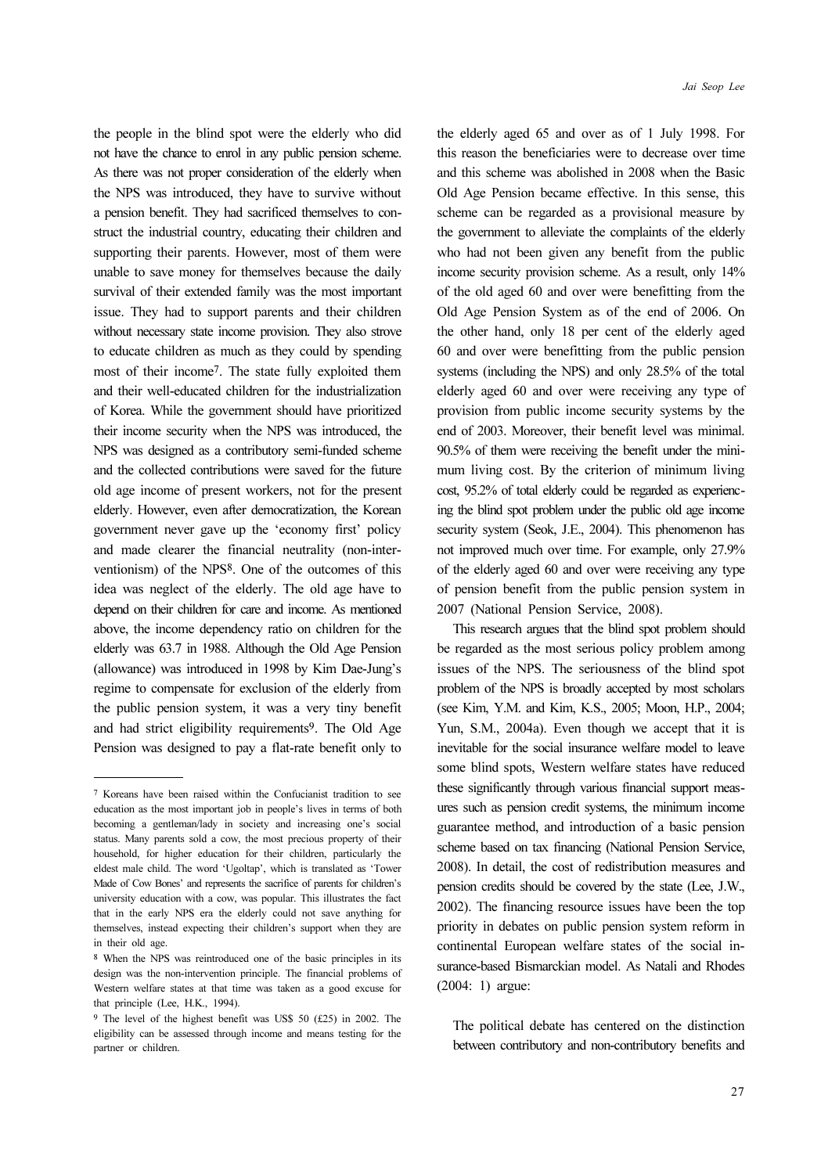the elderly aged 65 and over as of 1 July 1998. For

the NPS was introduced, they have to survive without a pension benefit. They had sacrificed themselves to construct the industrial country, educating their children and supporting their parents. However, most of them were unable to save money for themselves because the daily survival of their extended family was the most important issue. They had to support parents and their children without necessary state income provision. They also strove to educate children as much as they could by spending most of their income7. The state fully exploited them and their well-educated children for the industrialization of Korea. While the government should have prioritized their income security when the NPS was introduced, the NPS was designed as a contributory semi-funded scheme and the collected contributions were saved for the future old age income of present workers, not for the present elderly. However, even after democratization, the Korean government never gave up the 'economy first' policy and made clearer the financial neutrality (non-interventionism) of the NPS8. One of the outcomes of this idea was neglect of the elderly. The old age have to depend on their children for care and income. As mentioned above, the income dependency ratio on children for the elderly was 63.7 in 1988. Although the Old Age Pension (allowance) was introduced in 1998 by Kim Dae-Jung's regime to compensate for exclusion of the elderly from the public pension system, it was a very tiny benefit and had strict eligibility requirements9. The Old Age Pension was designed to pay a flat-rate benefit only to

the people in the blind spot were the elderly who did not have the chance to enrol in any public pension scheme. As there was not proper consideration of the elderly when Jai Seop Lee

this reason the beneficiaries were to decrease over time and this scheme was abolished in 2008 when the Basic Old Age Pension became effective. In this sense, this scheme can be regarded as a provisional measure by the government to alleviate the complaints of the elderly who had not been given any benefit from the public income security provision scheme. As a result, only 14% of the old aged 60 and over were benefitting from the Old Age Pension System as of the end of 2006. On the other hand, only 18 per cent of the elderly aged 60 and over were benefitting from the public pension systems (including the NPS) and only 28.5% of the total elderly aged 60 and over were receiving any type of provision from public income security systems by the end of 2003. Moreover, their benefit level was minimal. 90.5% of them were receiving the benefit under the minimum living cost. By the criterion of minimum living cost, 95.2% of total elderly could be regarded as experiencing the blind spot problem under the public old age income security system (Seok, J.E., 2004). This phenomenon has not improved much over time. For example, only 27.9% of the elderly aged 60 and over were receiving any type of pension benefit from the public pension system in 2007 (National Pension Service, 2008).

This research argues that the blind spot problem should be regarded as the most serious policy problem among issues of the NPS. The seriousness of the blind spot problem of the NPS is broadly accepted by most scholars (see Kim, Y.M. and Kim, K.S., 2005; Moon, H.P., 2004; Yun, S.M., 2004a). Even though we accept that it is inevitable for the social insurance welfare model to leave some blind spots, Western welfare states have reduced these significantly through various financial support measures such as pension credit systems, the minimum income guarantee method, and introduction of a basic pension scheme based on tax financing (National Pension Service, 2008). In detail, the cost of redistribution measures and pension credits should be covered by the state (Lee, J.W., 2002). The financing resource issues have been the top priority in debates on public pension system reform in continental European welfare states of the social insurance-based Bismarckian model. As Natali and Rhodes (2004: 1) argue:

The political debate has centered on the distinction between contributory and non-contributory benefits and

<sup>7</sup> Koreans have been raised within the Confucianist tradition to see education as the most important job in people's lives in terms of both becoming a gentleman/lady in society and increasing one's social status. Many parents sold a cow, the most precious property of their household, for higher education for their children, particularly the eldest male child. The word 'Ugoltap', which is translated as 'Tower Made of Cow Bones' and represents the sacrifice of parents for children's university education with a cow, was popular. This illustrates the fact that in the early NPS era the elderly could not save anything for themselves, instead expecting their children's support when they are in their old age.

<sup>8</sup> When the NPS was reintroduced one of the basic principles in its design was the non-intervention principle. The financial problems of Western welfare states at that time was taken as a good excuse for that principle (Lee, H.K., 1994).

<sup>9</sup> The level of the highest benefit was US\$ 50 (£25) in 2002. The eligibility can be assessed through income and means testing for the partner or children.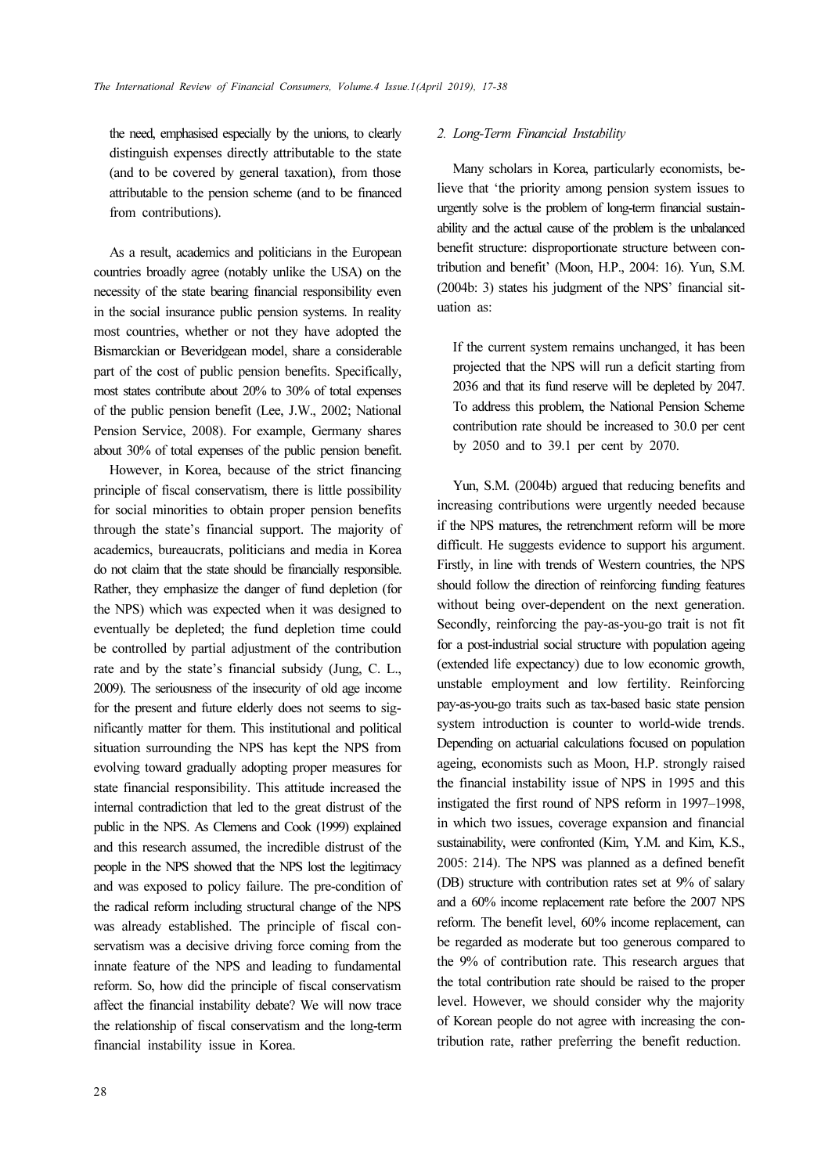the need, emphasised especially by the unions, to clearly distinguish expenses directly attributable to the state (and to be covered by general taxation), from those attributable to the pension scheme (and to be financed from contributions).

As a result, academics and politicians in the European countries broadly agree (notably unlike the USA) on the necessity of the state bearing financial responsibility even in the social insurance public pension systems. In reality most countries, whether or not they have adopted the Bismarckian or Beveridgean model, share a considerable part of the cost of public pension benefits. Specifically, most states contribute about 20% to 30% of total expenses of the public pension benefit (Lee, J.W., 2002; National Pension Service, 2008). For example, Germany shares about 30% of total expenses of the public pension benefit.

However, in Korea, because of the strict financing principle of fiscal conservatism, there is little possibility for social minorities to obtain proper pension benefits through the state's financial support. The majority of academics, bureaucrats, politicians and media in Korea do not claim that the state should be financially responsible. Rather, they emphasize the danger of fund depletion (for the NPS) which was expected when it was designed to eventually be depleted; the fund depletion time could be controlled by partial adjustment of the contribution rate and by the state's financial subsidy (Jung, C. L., 2009). The seriousness of the insecurity of old age income for the present and future elderly does not seems to significantly matter for them. This institutional and political situation surrounding the NPS has kept the NPS from evolving toward gradually adopting proper measures for state financial responsibility. This attitude increased the internal contradiction that led to the great distrust of the public in the NPS. As Clemens and Cook (1999) explained and this research assumed, the incredible distrust of the people in the NPS showed that the NPS lost the legitimacy and was exposed to policy failure. The pre-condition of the radical reform including structural change of the NPS was already established. The principle of fiscal conservatism was a decisive driving force coming from the innate feature of the NPS and leading to fundamental reform. So, how did the principle of fiscal conservatism affect the financial instability debate? We will now trace the relationship of fiscal conservatism and the long-term financial instability issue in Korea.

#### 2. Long-Term Financial Instability

Many scholars in Korea, particularly economists, believe that 'the priority among pension system issues to urgently solve is the problem of long-term financial sustainability and the actual cause of the problem is the unbalanced benefit structure: disproportionate structure between contribution and benefit' (Moon, H.P., 2004: 16). Yun, S.M. (2004b: 3) states his judgment of the NPS' financial situation as:

If the current system remains unchanged, it has been projected that the NPS will run a deficit starting from 2036 and that its fund reserve will be depleted by 2047. To address this problem, the National Pension Scheme contribution rate should be increased to 30.0 per cent by 2050 and to 39.1 per cent by 2070.

Yun, S.M. (2004b) argued that reducing benefits and increasing contributions were urgently needed because if the NPS matures, the retrenchment reform will be more difficult. He suggests evidence to support his argument. Firstly, in line with trends of Western countries, the NPS should follow the direction of reinforcing funding features without being over-dependent on the next generation. Secondly, reinforcing the pay-as-you-go trait is not fit for a post-industrial social structure with population ageing (extended life expectancy) due to low economic growth, unstable employment and low fertility. Reinforcing pay-as-you-go traits such as tax-based basic state pension system introduction is counter to world-wide trends. Depending on actuarial calculations focused on population ageing, economists such as Moon, H.P. strongly raised the financial instability issue of NPS in 1995 and this instigated the first round of NPS reform in 1997–1998, in which two issues, coverage expansion and financial sustainability, were confronted (Kim, Y.M. and Kim, K.S., 2005: 214). The NPS was planned as a defined benefit (DB) structure with contribution rates set at 9% of salary and a 60% income replacement rate before the 2007 NPS reform. The benefit level, 60% income replacement, can be regarded as moderate but too generous compared to the 9% of contribution rate. This research argues that the total contribution rate should be raised to the proper level. However, we should consider why the majority of Korean people do not agree with increasing the contribution rate, rather preferring the benefit reduction.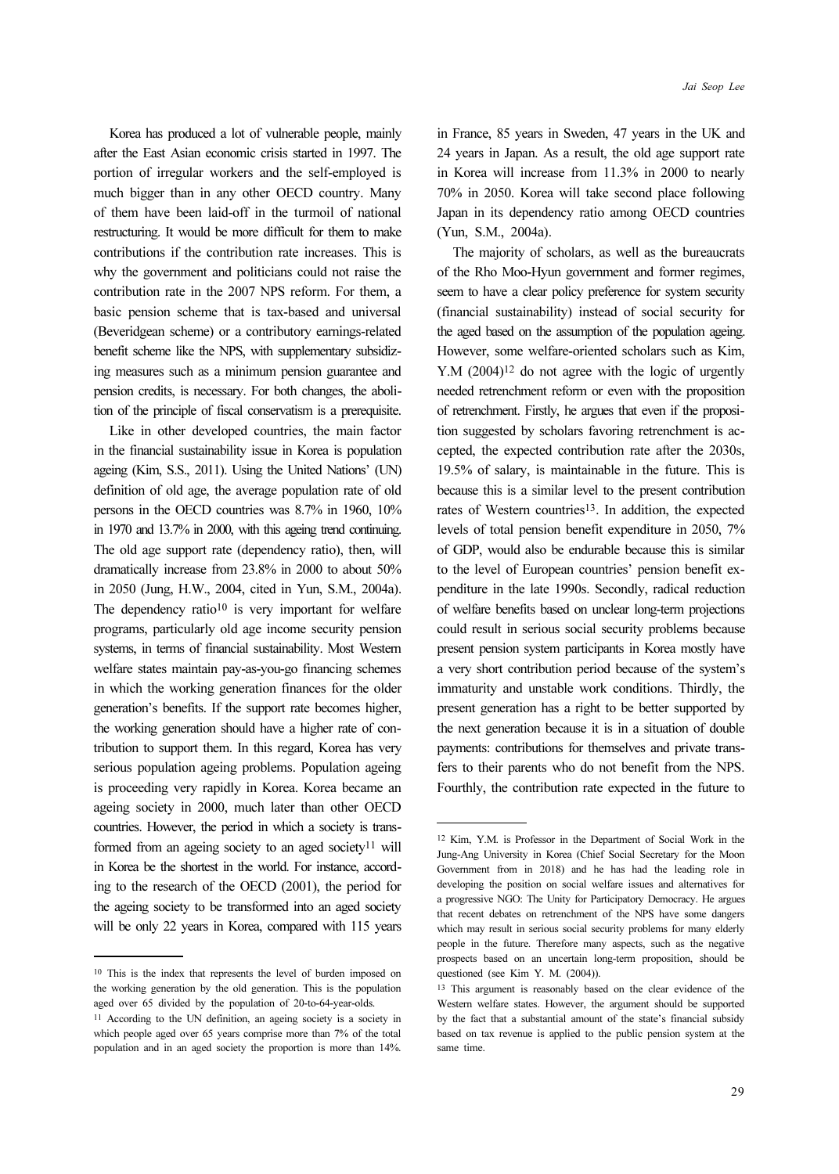Korea has produced a lot of vulnerable people, mainly after the East Asian economic crisis started in 1997. The portion of irregular workers and the self-employed is much bigger than in any other OECD country. Many of them have been laid-off in the turmoil of national restructuring. It would be more difficult for them to make contributions if the contribution rate increases. This is why the government and politicians could not raise the contribution rate in the 2007 NPS reform. For them, a basic pension scheme that is tax-based and universal (Beveridgean scheme) or a contributory earnings-related benefit scheme like the NPS, with supplementary subsidizing measures such as a minimum pension guarantee and pension credits, is necessary. For both changes, the abolition of the principle of fiscal conservatism is a prerequisite.

Like in other developed countries, the main factor in the financial sustainability issue in Korea is population ageing (Kim, S.S., 2011). Using the United Nations' (UN) definition of old age, the average population rate of old persons in the OECD countries was 8.7% in 1960, 10% in 1970 and 13.7% in 2000, with this ageing trend continuing. The old age support rate (dependency ratio), then, will dramatically increase from 23.8% in 2000 to about 50% in 2050 (Jung, H.W., 2004, cited in Yun, S.M., 2004a). The dependency ratio<sup>10</sup> is very important for welfare programs, particularly old age income security pension systems, in terms of financial sustainability. Most Western welfare states maintain pay-as-you-go financing schemes in which the working generation finances for the older generation's benefits. If the support rate becomes higher, the working generation should have a higher rate of contribution to support them. In this regard, Korea has very serious population ageing problems. Population ageing is proceeding very rapidly in Korea. Korea became an ageing society in 2000, much later than other OECD countries. However, the period in which a society is transformed from an ageing society to an aged society<sup>11</sup> will in Korea be the shortest in the world. For instance, according to the research of the OECD (2001), the period for the ageing society to be transformed into an aged society will be only 22 years in Korea, compared with 115 years

in France, 85 years in Sweden, 47 years in the UK and 24 years in Japan. As a result, the old age support rate in Korea will increase from 11.3% in 2000 to nearly 70% in 2050. Korea will take second place following Japan in its dependency ratio among OECD countries (Yun, S.M., 2004a).

The majority of scholars, as well as the bureaucrats of the Rho Moo-Hyun government and former regimes, seem to have a clear policy preference for system security (financial sustainability) instead of social security for the aged based on the assumption of the population ageing. However, some welfare-oriented scholars such as Kim, Y.M  $(2004)^{12}$  do not agree with the logic of urgently needed retrenchment reform or even with the proposition of retrenchment. Firstly, he argues that even if the proposition suggested by scholars favoring retrenchment is accepted, the expected contribution rate after the 2030s, 19.5% of salary, is maintainable in the future. This is because this is a similar level to the present contribution rates of Western countries<sup>13</sup>. In addition, the expected levels of total pension benefit expenditure in 2050, 7% of GDP, would also be endurable because this is similar to the level of European countries' pension benefit expenditure in the late 1990s. Secondly, radical reduction of welfare benefits based on unclear long-term projections could result in serious social security problems because present pension system participants in Korea mostly have a very short contribution period because of the system's immaturity and unstable work conditions. Thirdly, the present generation has a right to be better supported by the next generation because it is in a situation of double payments: contributions for themselves and private transfers to their parents who do not benefit from the NPS. Fourthly, the contribution rate expected in the future to

<sup>10</sup> This is the index that represents the level of burden imposed on the working generation by the old generation. This is the population aged over 65 divided by the population of 20-to-64-year-olds.

<sup>11</sup> According to the UN definition, an ageing society is a society in which people aged over 65 years comprise more than 7% of the total population and in an aged society the proportion is more than 14%.

<sup>12</sup> Kim, Y.M. is Professor in the Department of Social Work in the Jung-Ang University in Korea (Chief Social Secretary for the Moon Government from in 2018) and he has had the leading role in developing the position on social welfare issues and alternatives for a progressive NGO: The Unity for Participatory Democracy. He argues that recent debates on retrenchment of the NPS have some dangers which may result in serious social security problems for many elderly people in the future. Therefore many aspects, such as the negative prospects based on an uncertain long-term proposition, should be questioned (see Kim Y. M. (2004)).

<sup>13</sup> This argument is reasonably based on the clear evidence of the Western welfare states. However, the argument should be supported by the fact that a substantial amount of the state's financial subsidy based on tax revenue is applied to the public pension system at the same time.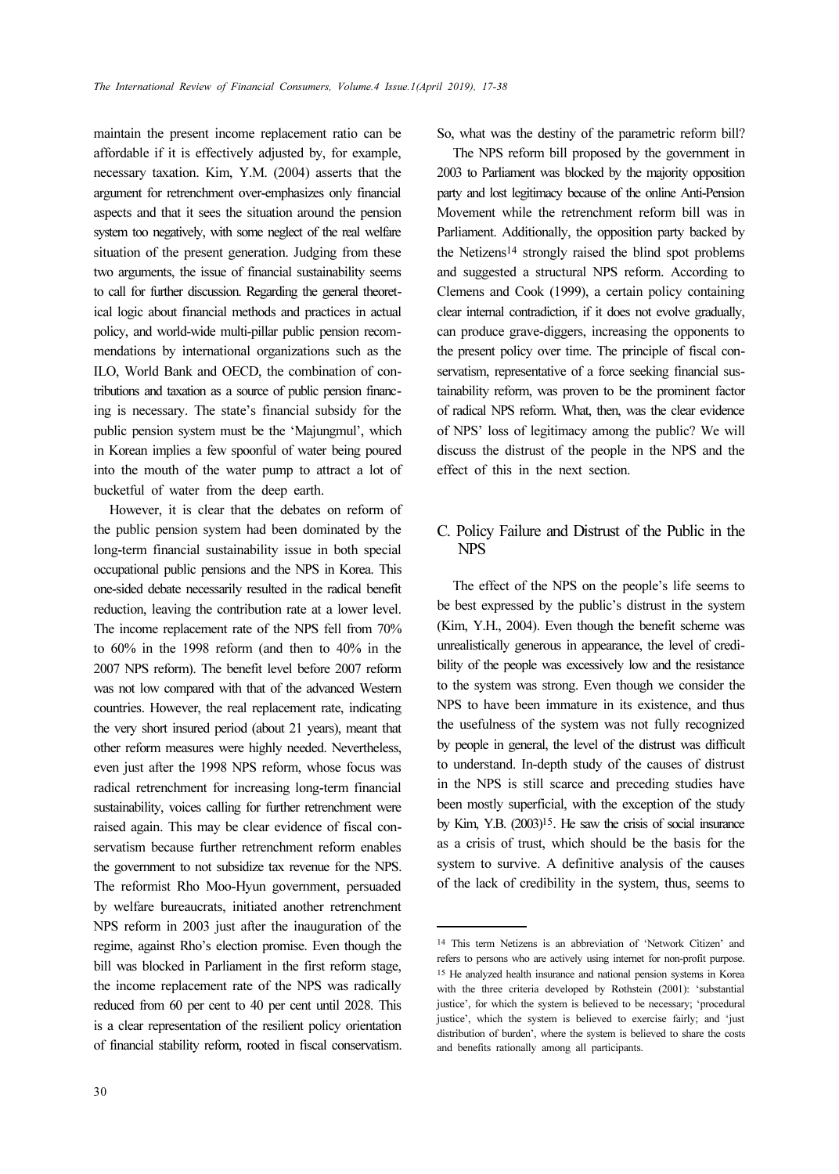maintain the present income replacement ratio can be affordable if it is effectively adjusted by, for example, necessary taxation. Kim, Y.M. (2004) asserts that the argument for retrenchment over-emphasizes only financial aspects and that it sees the situation around the pension system too negatively, with some neglect of the real welfare situation of the present generation. Judging from these two arguments, the issue of financial sustainability seems to call for further discussion. Regarding the general theoretical logic about financial methods and practices in actual policy, and world-wide multi-pillar public pension recommendations by international organizations such as the ILO, World Bank and OECD, the combination of contributions and taxation as a source of public pension financing is necessary. The state's financial subsidy for the public pension system must be the 'Majungmul', which in Korean implies a few spoonful of water being poured into the mouth of the water pump to attract a lot of bucketful of water from the deep earth.

However, it is clear that the debates on reform of the public pension system had been dominated by the long-term financial sustainability issue in both special occupational public pensions and the NPS in Korea. This one-sided debate necessarily resulted in the radical benefit reduction, leaving the contribution rate at a lower level. The income replacement rate of the NPS fell from 70% to 60% in the 1998 reform (and then to 40% in the 2007 NPS reform). The benefit level before 2007 reform was not low compared with that of the advanced Western countries. However, the real replacement rate, indicating the very short insured period (about 21 years), meant that other reform measures were highly needed. Nevertheless, even just after the 1998 NPS reform, whose focus was radical retrenchment for increasing long-term financial sustainability, voices calling for further retrenchment were raised again. This may be clear evidence of fiscal conservatism because further retrenchment reform enables the government to not subsidize tax revenue for the NPS. The reformist Rho Moo-Hyun government, persuaded by welfare bureaucrats, initiated another retrenchment NPS reform in 2003 just after the inauguration of the regime, against Rho's election promise. Even though the bill was blocked in Parliament in the first reform stage, the income replacement rate of the NPS was radically reduced from 60 per cent to 40 per cent until 2028. This is a clear representation of the resilient policy orientation of financial stability reform, rooted in fiscal conservatism.

So, what was the destiny of the parametric reform bill?

The NPS reform bill proposed by the government in 2003 to Parliament was blocked by the majority opposition party and lost legitimacy because of the online Anti-Pension Movement while the retrenchment reform bill was in Parliament. Additionally, the opposition party backed by the Netizens14 strongly raised the blind spot problems and suggested a structural NPS reform. According to Clemens and Cook (1999), a certain policy containing clear internal contradiction, if it does not evolve gradually, can produce grave-diggers, increasing the opponents to the present policy over time. The principle of fiscal conservatism, representative of a force seeking financial sustainability reform, was proven to be the prominent factor of radical NPS reform. What, then, was the clear evidence of NPS' loss of legitimacy among the public? We will discuss the distrust of the people in the NPS and the effect of this in the next section.

## C. Policy Failure and Distrust of the Public in the NPS

The effect of the NPS on the people's life seems to be best expressed by the public's distrust in the system (Kim, Y.H., 2004). Even though the benefit scheme was unrealistically generous in appearance, the level of credibility of the people was excessively low and the resistance to the system was strong. Even though we consider the NPS to have been immature in its existence, and thus the usefulness of the system was not fully recognized by people in general, the level of the distrust was difficult to understand. In-depth study of the causes of distrust in the NPS is still scarce and preceding studies have been mostly superficial, with the exception of the study by Kim, Y.B. (2003)15. He saw the crisis of social insurance as a crisis of trust, which should be the basis for the system to survive. A definitive analysis of the causes of the lack of credibility in the system, thus, seems to

<sup>14</sup> This term Netizens is an abbreviation of 'Network Citizen' and refers to persons who are actively using internet for non-profit purpose. <sup>15</sup> He analyzed health insurance and national pension systems in Korea with the three criteria developed by Rothstein (2001): 'substantial justice', for which the system is believed to be necessary; 'procedural justice', which the system is believed to exercise fairly; and 'just distribution of burden', where the system is believed to share the costs and benefits rationally among all participants.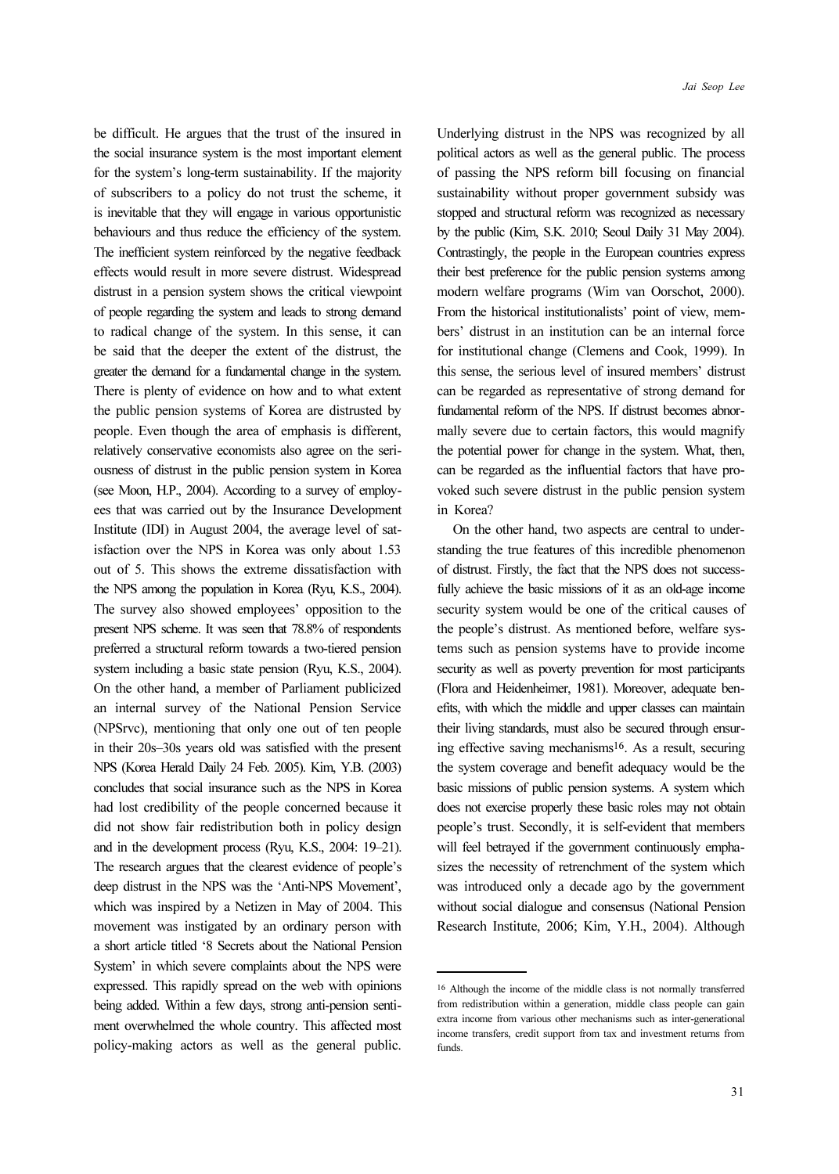be difficult. He argues that the trust of the insured in the social insurance system is the most important element for the system's long-term sustainability. If the majority of subscribers to a policy do not trust the scheme, it is inevitable that they will engage in various opportunistic behaviours and thus reduce the efficiency of the system. The inefficient system reinforced by the negative feedback effects would result in more severe distrust. Widespread distrust in a pension system shows the critical viewpoint of people regarding the system and leads to strong demand to radical change of the system. In this sense, it can be said that the deeper the extent of the distrust, the greater the demand for a fundamental change in the system. There is plenty of evidence on how and to what extent the public pension systems of Korea are distrusted by people. Even though the area of emphasis is different, relatively conservative economists also agree on the seriousness of distrust in the public pension system in Korea (see Moon, H.P., 2004). According to a survey of employees that was carried out by the Insurance Development Institute (IDI) in August 2004, the average level of satisfaction over the NPS in Korea was only about 1.53 out of 5. This shows the extreme dissatisfaction with the NPS among the population in Korea (Ryu, K.S., 2004). The survey also showed employees' opposition to the present NPS scheme. It was seen that 78.8% of respondents preferred a structural reform towards a two-tiered pension system including a basic state pension (Ryu, K.S., 2004). On the other hand, a member of Parliament publicized an internal survey of the National Pension Service (NPSrvc), mentioning that only one out of ten people in their 20s–30s years old was satisfied with the present NPS (Korea Herald Daily 24 Feb. 2005). Kim, Y.B. (2003) concludes that social insurance such as the NPS in Korea had lost credibility of the people concerned because it did not show fair redistribution both in policy design and in the development process (Ryu, K.S., 2004: 19–21). The research argues that the clearest evidence of people's deep distrust in the NPS was the 'Anti-NPS Movement', which was inspired by a Netizen in May of 2004. This movement was instigated by an ordinary person with a short article titled '8 Secrets about the National Pension System' in which severe complaints about the NPS were expressed. This rapidly spread on the web with opinions

being added. Within a few days, strong anti-pension sentiment overwhelmed the whole country. This affected most policy-making actors as well as the general public. Underlying distrust in the NPS was recognized by all political actors as well as the general public. The process of passing the NPS reform bill focusing on financial sustainability without proper government subsidy was stopped and structural reform was recognized as necessary by the public (Kim, S.K. 2010; Seoul Daily 31 May 2004). Contrastingly, the people in the European countries express their best preference for the public pension systems among modern welfare programs (Wim van Oorschot, 2000). From the historical institutionalists' point of view, members' distrust in an institution can be an internal force for institutional change (Clemens and Cook, 1999). In this sense, the serious level of insured members' distrust can be regarded as representative of strong demand for fundamental reform of the NPS. If distrust becomes abnormally severe due to certain factors, this would magnify the potential power for change in the system. What, then, can be regarded as the influential factors that have provoked such severe distrust in the public pension system

On the other hand, two aspects are central to understanding the true features of this incredible phenomenon of distrust. Firstly, the fact that the NPS does not successfully achieve the basic missions of it as an old-age income security system would be one of the critical causes of the people's distrust. As mentioned before, welfare systems such as pension systems have to provide income security as well as poverty prevention for most participants (Flora and Heidenheimer, 1981). Moreover, adequate benefits, with which the middle and upper classes can maintain their living standards, must also be secured through ensuring effective saving mechanisms16. As a result, securing the system coverage and benefit adequacy would be the basic missions of public pension systems. A system which does not exercise properly these basic roles may not obtain people's trust. Secondly, it is self-evident that members will feel betrayed if the government continuously emphasizes the necessity of retrenchment of the system which was introduced only a decade ago by the government without social dialogue and consensus (National Pension Research Institute, 2006; Kim, Y.H., 2004). Although

in Korea?

<sup>16</sup> Although the income of the middle class is not normally transferred from redistribution within a generation, middle class people can gain extra income from various other mechanisms such as inter-generational income transfers, credit support from tax and investment returns from funds.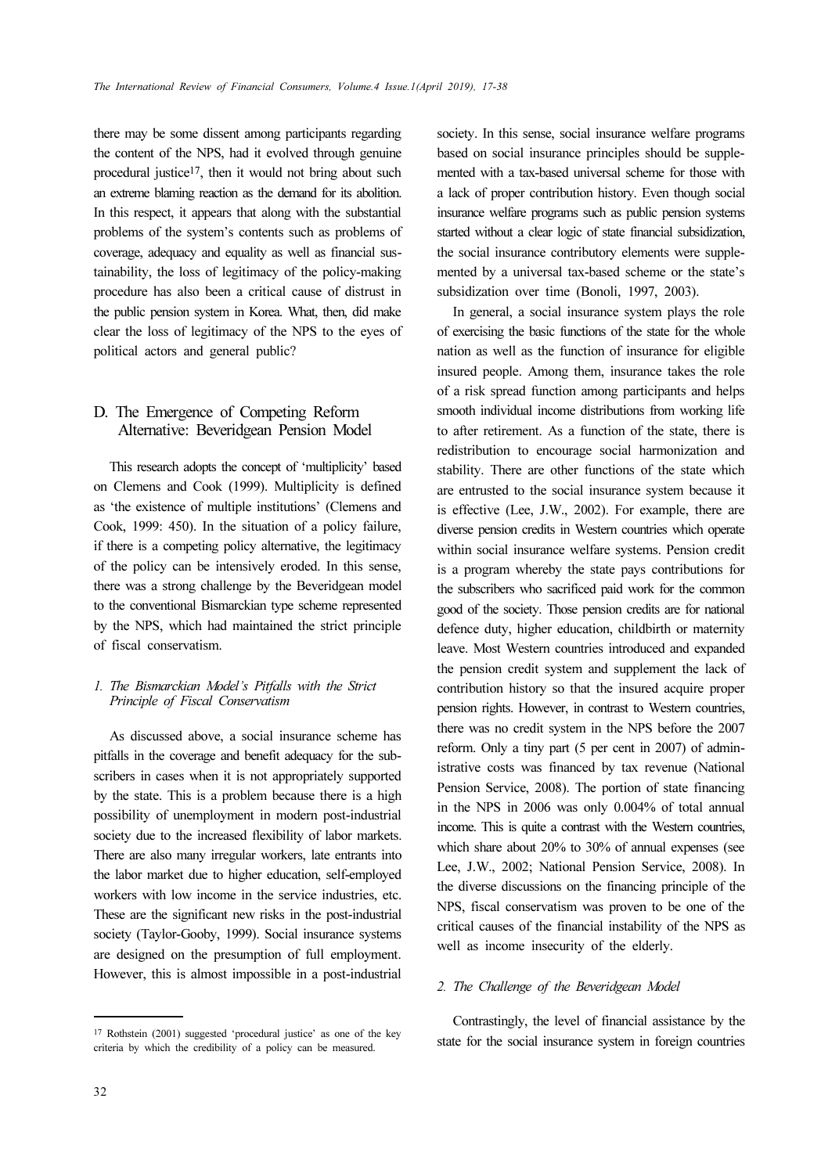there may be some dissent among participants regarding the content of the NPS, had it evolved through genuine procedural justice<sup>17</sup>, then it would not bring about such an extreme blaming reaction as the demand for its abolition. In this respect, it appears that along with the substantial problems of the system's contents such as problems of coverage, adequacy and equality as well as financial sustainability, the loss of legitimacy of the policy-making procedure has also been a critical cause of distrust in the public pension system in Korea. What, then, did make clear the loss of legitimacy of the NPS to the eyes of political actors and general public?

## D. The Emergence of Competing Reform Alternative: Beveridgean Pension Model

This research adopts the concept of 'multiplicity' based on Clemens and Cook (1999). Multiplicity is defined as 'the existence of multiple institutions' (Clemens and Cook, 1999: 450). In the situation of a policy failure, if there is a competing policy alternative, the legitimacy of the policy can be intensively eroded. In this sense, there was a strong challenge by the Beveridgean model to the conventional Bismarckian type scheme represented by the NPS, which had maintained the strict principle of fiscal conservatism.

### 1. The Bismarckian Model's Pitfalls with the Strict Principle of Fiscal Conservatism

As discussed above, a social insurance scheme has pitfalls in the coverage and benefit adequacy for the subscribers in cases when it is not appropriately supported by the state. This is a problem because there is a high possibility of unemployment in modern post-industrial society due to the increased flexibility of labor markets. There are also many irregular workers, late entrants into the labor market due to higher education, self-employed workers with low income in the service industries, etc. These are the significant new risks in the post-industrial society (Taylor-Gooby, 1999). Social insurance systems are designed on the presumption of full employment. However, this is almost impossible in a post-industrial society. In this sense, social insurance welfare programs based on social insurance principles should be supplemented with a tax-based universal scheme for those with a lack of proper contribution history. Even though social insurance welfare programs such as public pension systems started without a clear logic of state financial subsidization, the social insurance contributory elements were supplemented by a universal tax-based scheme or the state's subsidization over time (Bonoli, 1997, 2003).

In general, a social insurance system plays the role of exercising the basic functions of the state for the whole nation as well as the function of insurance for eligible insured people. Among them, insurance takes the role of a risk spread function among participants and helps smooth individual income distributions from working life to after retirement. As a function of the state, there is redistribution to encourage social harmonization and stability. There are other functions of the state which are entrusted to the social insurance system because it is effective (Lee, J.W., 2002). For example, there are diverse pension credits in Western countries which operate within social insurance welfare systems. Pension credit is a program whereby the state pays contributions for the subscribers who sacrificed paid work for the common good of the society. Those pension credits are for national defence duty, higher education, childbirth or maternity leave. Most Western countries introduced and expanded the pension credit system and supplement the lack of contribution history so that the insured acquire proper pension rights. However, in contrast to Western countries, there was no credit system in the NPS before the 2007 reform. Only a tiny part (5 per cent in 2007) of administrative costs was financed by tax revenue (National Pension Service, 2008). The portion of state financing in the NPS in 2006 was only 0.004% of total annual income. This is quite a contrast with the Western countries, which share about 20% to 30% of annual expenses (see Lee, J.W., 2002; National Pension Service, 2008). In the diverse discussions on the financing principle of the NPS, fiscal conservatism was proven to be one of the critical causes of the financial instability of the NPS as well as income insecurity of the elderly.

### 2. The Challenge of the Beveridgean Model

Contrastingly, the level of financial assistance by the state for the social insurance system in foreign countries

<sup>17</sup> Rothstein (2001) suggested 'procedural justice' as one of the key criteria by which the credibility of a policy can be measured.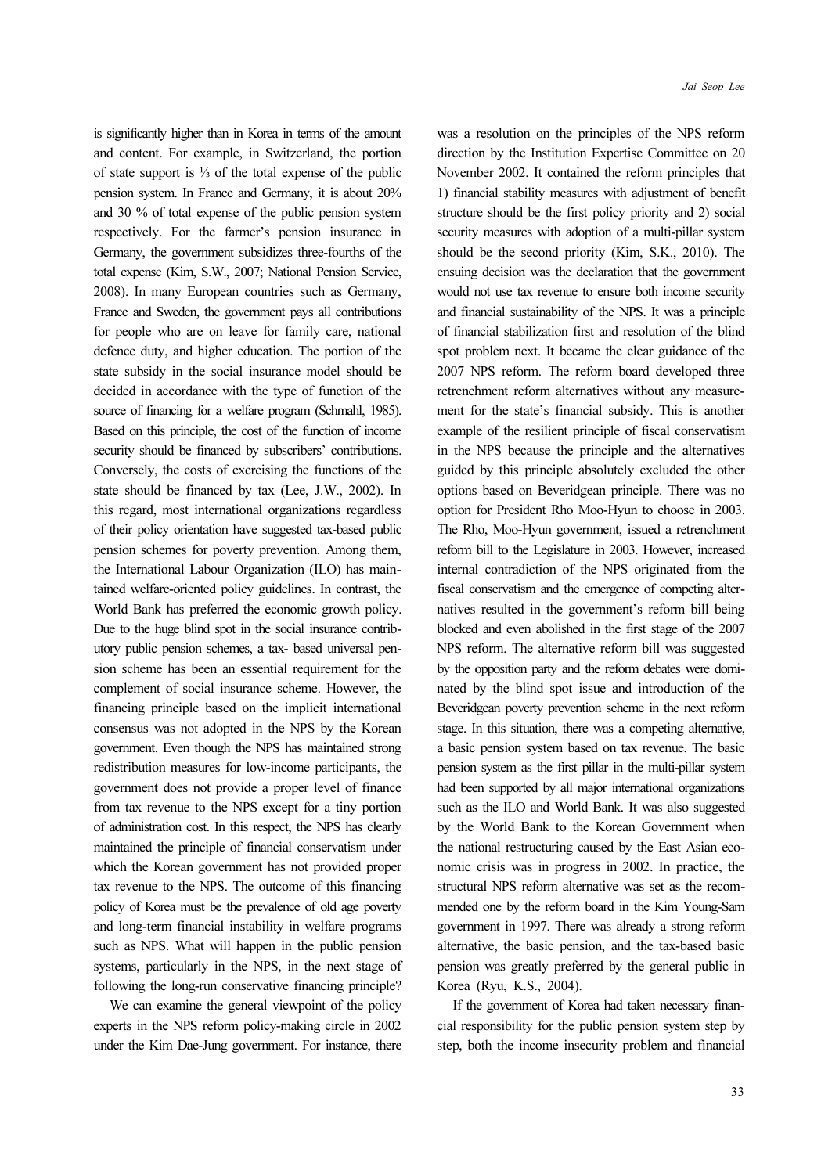is significantly higher than in Korea in terms of the amount and content. For example, in Switzerland, the portion of state support is ⅓ of the total expense of the public pension system. In France and Germany, it is about 20% and 30 % of total expense of the public pension system respectively. For the farmer's pension insurance in Germany, the government subsidizes three-fourths of the total expense (Kim, S.W., 2007; National Pension Service, 2008). In many European countries such as Germany, France and Sweden, the government pays all contributions for people who are on leave for family care, national defence duty, and higher education. The portion of the state subsidy in the social insurance model should be decided in accordance with the type of function of the source of financing for a welfare program (Schmahl, 1985). Based on this principle, the cost of the function of income security should be financed by subscribers' contributions. Conversely, the costs of exercising the functions of the state should be financed by tax (Lee, J.W., 2002). In this regard, most international organizations regardless of their policy orientation have suggested tax-based public pension schemes for poverty prevention. Among them, the International Labour Organization (ILO) has maintained welfare-oriented policy guidelines. In contrast, the World Bank has preferred the economic growth policy. Due to the huge blind spot in the social insurance contributory public pension schemes, a tax- based universal pension scheme has been an essential requirement for the complement of social insurance scheme. However, the financing principle based on the implicit international consensus was not adopted in the NPS by the Korean government. Even though the NPS has maintained strong redistribution measures for low-income participants, the government does not provide a proper level of finance from tax revenue to the NPS except for a tiny portion of administration cost. In this respect, the NPS has clearly maintained the principle of financial conservatism under which the Korean government has not provided proper tax revenue to the NPS. The outcome of this financing policy of Korea must be the prevalence of old age poverty and long-term financial instability in welfare programs such as NPS. What will happen in the public pension systems, particularly in the NPS, in the next stage of following the long-run conservative financing principle?

We can examine the general viewpoint of the policy experts in the NPS reform policy-making circle in 2002 under the Kim Dae-Jung government. For instance, there was a resolution on the principles of the NPS reform direction by the Institution Expertise Committee on 20 November 2002. It contained the reform principles that 1) financial stability measures with adjustment of benefit structure should be the first policy priority and 2) social security measures with adoption of a multi-pillar system should be the second priority (Kim, S.K., 2010). The ensuing decision was the declaration that the government would not use tax revenue to ensure both income security and financial sustainability of the NPS. It was a principle of financial stabilization first and resolution of the blind spot problem next. It became the clear guidance of the 2007 NPS reform. The reform board developed three retrenchment reform alternatives without any measurement for the state's financial subsidy. This is another example of the resilient principle of fiscal conservatism in the NPS because the principle and the alternatives guided by this principle absolutely excluded the other options based on Beveridgean principle. There was no option for President Rho Moo-Hyun to choose in 2003. The Rho, Moo-Hyun government, issued a retrenchment reform bill to the Legislature in 2003. However, increased internal contradiction of the NPS originated from the fiscal conservatism and the emergence of competing alternatives resulted in the government's reform bill being blocked and even abolished in the first stage of the 2007 NPS reform. The alternative reform bill was suggested by the opposition party and the reform debates were dominated by the blind spot issue and introduction of the Beveridgean poverty prevention scheme in the next reform stage. In this situation, there was a competing alternative, a basic pension system based on tax revenue. The basic pension system as the first pillar in the multi-pillar system had been supported by all major international organizations such as the ILO and World Bank. It was also suggested by the World Bank to the Korean Government when the national restructuring caused by the East Asian economic crisis was in progress in 2002. In practice, the structural NPS reform alternative was set as the recommended one by the reform board in the Kim Young-Sam government in 1997. There was already a strong reform alternative, the basic pension, and the tax-based basic pension was greatly preferred by the general public in Korea (Ryu, K.S., 2004).

If the government of Korea had taken necessary financial responsibility for the public pension system step by step, both the income insecurity problem and financial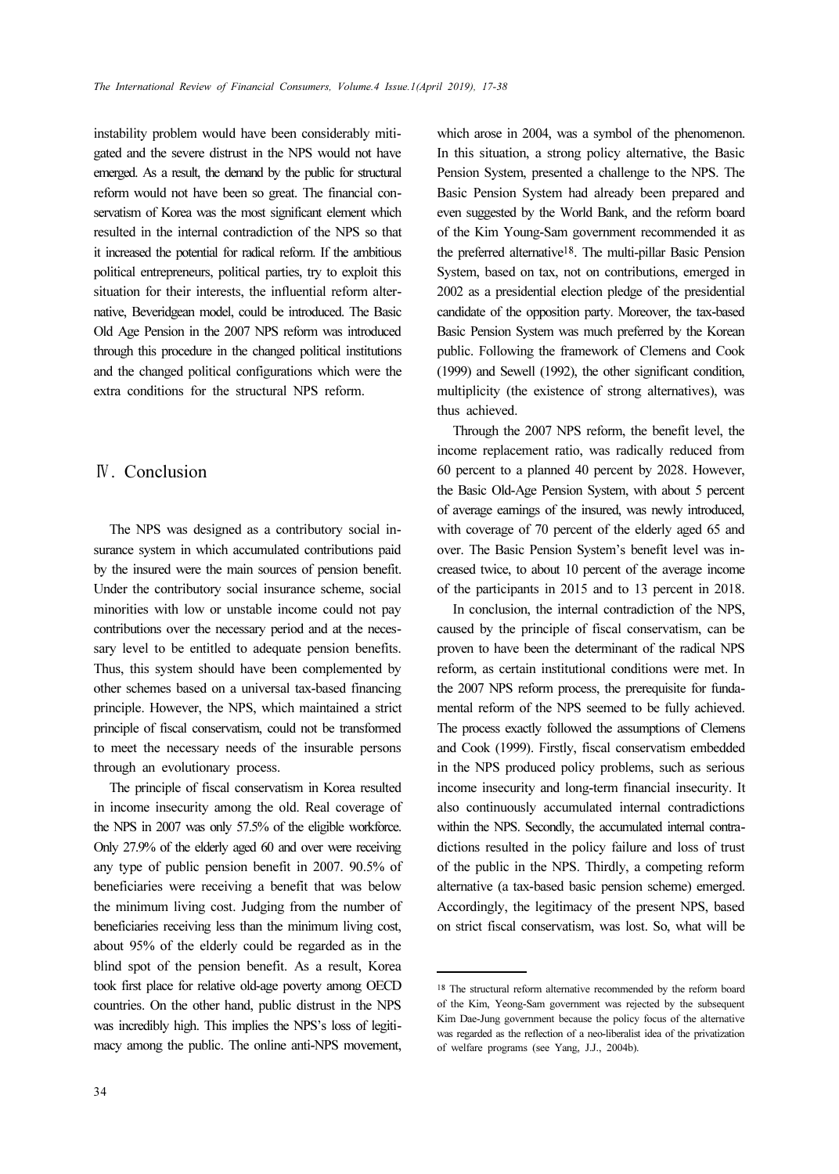instability problem would have been considerably mitigated and the severe distrust in the NPS would not have emerged. As a result, the demand by the public for structural reform would not have been so great. The financial conservatism of Korea was the most significant element which resulted in the internal contradiction of the NPS so that it increased the potential for radical reform. If the ambitious political entrepreneurs, political parties, try to exploit this situation for their interests, the influential reform alternative, Beveridgean model, could be introduced. The Basic Old Age Pension in the 2007 NPS reform was introduced through this procedure in the changed political institutions and the changed political configurations which were the extra conditions for the structural NPS reform.

## Ⅳ. Conclusion

The NPS was designed as a contributory social insurance system in which accumulated contributions paid by the insured were the main sources of pension benefit. Under the contributory social insurance scheme, social minorities with low or unstable income could not pay contributions over the necessary period and at the necessary level to be entitled to adequate pension benefits. Thus, this system should have been complemented by other schemes based on a universal tax-based financing principle. However, the NPS, which maintained a strict principle of fiscal conservatism, could not be transformed to meet the necessary needs of the insurable persons through an evolutionary process.

The principle of fiscal conservatism in Korea resulted in income insecurity among the old. Real coverage of the NPS in 2007 was only 57.5% of the eligible workforce. Only 27.9% of the elderly aged 60 and over were receiving any type of public pension benefit in 2007. 90.5% of beneficiaries were receiving a benefit that was below the minimum living cost. Judging from the number of beneficiaries receiving less than the minimum living cost, about 95% of the elderly could be regarded as in the blind spot of the pension benefit. As a result, Korea took first place for relative old-age poverty among OECD countries. On the other hand, public distrust in the NPS was incredibly high. This implies the NPS's loss of legitimacy among the public. The online anti-NPS movement,

which arose in 2004, was a symbol of the phenomenon. In this situation, a strong policy alternative, the Basic Pension System, presented a challenge to the NPS. The Basic Pension System had already been prepared and even suggested by the World Bank, and the reform board of the Kim Young-Sam government recommended it as the preferred alternative18. The multi-pillar Basic Pension System, based on tax, not on contributions, emerged in 2002 as a presidential election pledge of the presidential candidate of the opposition party. Moreover, the tax-based Basic Pension System was much preferred by the Korean public. Following the framework of Clemens and Cook (1999) and Sewell (1992), the other significant condition, multiplicity (the existence of strong alternatives), was thus achieved.

Through the 2007 NPS reform, the benefit level, the income replacement ratio, was radically reduced from 60 percent to a planned 40 percent by 2028. However, the Basic Old-Age Pension System, with about 5 percent of average earnings of the insured, was newly introduced, with coverage of 70 percent of the elderly aged 65 and over. The Basic Pension System's benefit level was increased twice, to about 10 percent of the average income of the participants in 2015 and to 13 percent in 2018.

In conclusion, the internal contradiction of the NPS, caused by the principle of fiscal conservatism, can be proven to have been the determinant of the radical NPS reform, as certain institutional conditions were met. In the 2007 NPS reform process, the prerequisite for fundamental reform of the NPS seemed to be fully achieved. The process exactly followed the assumptions of Clemens and Cook (1999). Firstly, fiscal conservatism embedded in the NPS produced policy problems, such as serious income insecurity and long-term financial insecurity. It also continuously accumulated internal contradictions within the NPS. Secondly, the accumulated internal contradictions resulted in the policy failure and loss of trust of the public in the NPS. Thirdly, a competing reform alternative (a tax-based basic pension scheme) emerged. Accordingly, the legitimacy of the present NPS, based on strict fiscal conservatism, was lost. So, what will be

<sup>18</sup> The structural reform alternative recommended by the reform board of the Kim, Yeong-Sam government was rejected by the subsequent Kim Dae-Jung government because the policy focus of the alternative was regarded as the reflection of a neo-liberalist idea of the privatization of welfare programs (see Yang, J.J., 2004b).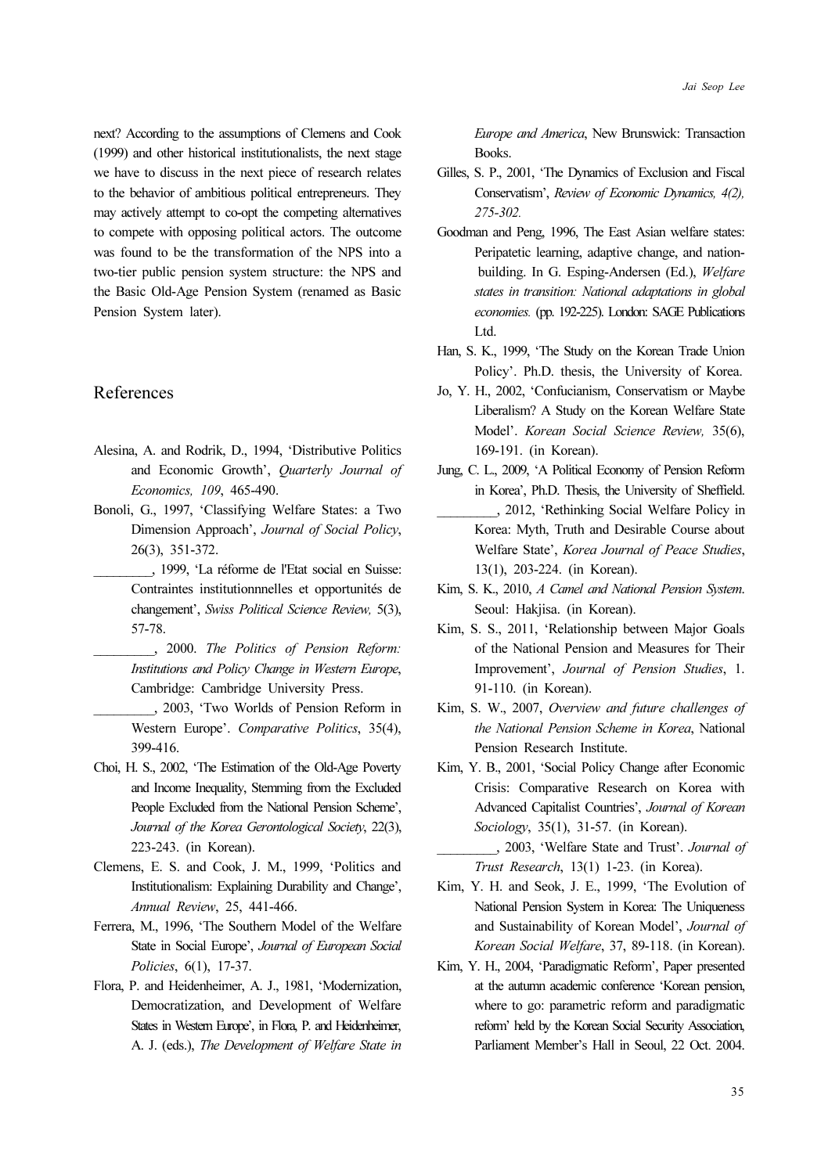next? According to the assumptions of Clemens and Cook (1999) and other historical institutionalists, the next stage we have to discuss in the next piece of research relates to the behavior of ambitious political entrepreneurs. They may actively attempt to co-opt the competing alternatives to compete with opposing political actors. The outcome was found to be the transformation of the NPS into a two-tier public pension system structure: the NPS and the Basic Old-Age Pension System (renamed as Basic Pension System later).

# References

- Alesina, A. and Rodrik, D., 1994, 'Distributive Politics and Economic Growth', Quarterly Journal of Economics, 109, 465-490.
- Bonoli, G., 1997, 'Classifying Welfare States: a Two Dimension Approach', Journal of Social Policy, 26(3), 351-372.
- \_\_\_\_\_\_\_\_\_, 1999, 'La réforme de l'Etat social en Suisse: Contraintes institutionnnelles et opportunités de changement', Swiss Political Science Review, 5(3), 57-78.
	- \_\_\_\_\_\_\_\_\_, 2000. The Politics of Pension Reform: Institutions and Policy Change in Western Europe, Cambridge: Cambridge University Press.
- \_\_\_\_\_\_\_\_\_, 2003, 'Two Worlds of Pension Reform in Western Europe'. Comparative Politics, 35(4), 399-416.
- Choi, H. S., 2002, 'The Estimation of the Old-Age Poverty and Income Inequality, Stemming from the Excluded People Excluded from the National Pension Scheme', Journal of the Korea Gerontological Society, 22(3), 223-243. (in Korean).
- Clemens, E. S. and Cook, J. M., 1999, 'Politics and Institutionalism: Explaining Durability and Change', Annual Review, 25, 441-466.
- Ferrera, M., 1996, 'The Southern Model of the Welfare State in Social Europe', Journal of European Social Policies, 6(1), 17-37.
- Flora, P. and Heidenheimer, A. J., 1981, 'Modernization, Democratization, and Development of Welfare States in Western Europe', in Flora, P. and Heidenheimer, A. J. (eds.), The Development of Welfare State in

Europe and America, New Brunswick: Transaction Books.

- Gilles, S. P., 2001, 'The Dynamics of Exclusion and Fiscal Conservatism', Review of Economic Dynamics, 4(2), 275-302.
- Goodman and Peng, 1996, The East Asian welfare states: Peripatetic learning, adaptive change, and nationbuilding. In G. Esping-Andersen (Ed.), Welfare states in transition: National adaptations in global economies. (pp. 192-225). London: SAGE Publications Ltd.
- Han, S. K., 1999, 'The Study on the Korean Trade Union Policy'. Ph.D. thesis, the University of Korea.
- Jo, Y. H., 2002, 'Confucianism, Conservatism or Maybe Liberalism? A Study on the Korean Welfare State Model'. Korean Social Science Review, 35(6), 169-191. (in Korean).
- Jung, C. L., 2009, 'A Political Economy of Pension Reform in Korea', Ph.D. Thesis, the University of Sheffield. \_\_\_\_\_\_\_\_\_, 2012, 'Rethinking Social Welfare Policy in Korea: Myth, Truth and Desirable Course about Welfare State', Korea Journal of Peace Studies, 13(1), 203-224. (in Korean).
- Kim, S. K., 2010, A Camel and National Pension System. Seoul: Hakjisa. (in Korean).
- Kim, S. S., 2011, 'Relationship between Major Goals of the National Pension and Measures for Their Improvement', Journal of Pension Studies, 1. 91-110. (in Korean).
- Kim, S. W., 2007, Overview and future challenges of the National Pension Scheme in Korea, National Pension Research Institute.
- Kim, Y. B., 2001, 'Social Policy Change after Economic Crisis: Comparative Research on Korea with Advanced Capitalist Countries', Journal of Korean Sociology, 35(1), 31-57. (in Korean).
	- \_\_\_\_\_\_\_\_\_, 2003, 'Welfare State and Trust'. Journal of Trust Research, 13(1) 1-23. (in Korea).
- Kim, Y. H. and Seok, J. E., 1999, 'The Evolution of National Pension System in Korea: The Uniqueness and Sustainability of Korean Model', Journal of Korean Social Welfare, 37, 89-118. (in Korean).
- Kim, Y. H., 2004, 'Paradigmatic Reform', Paper presented at the autumn academic conference 'Korean pension, where to go: parametric reform and paradigmatic reform' held by the Korean Social Security Association, Parliament Member's Hall in Seoul, 22 Oct. 2004.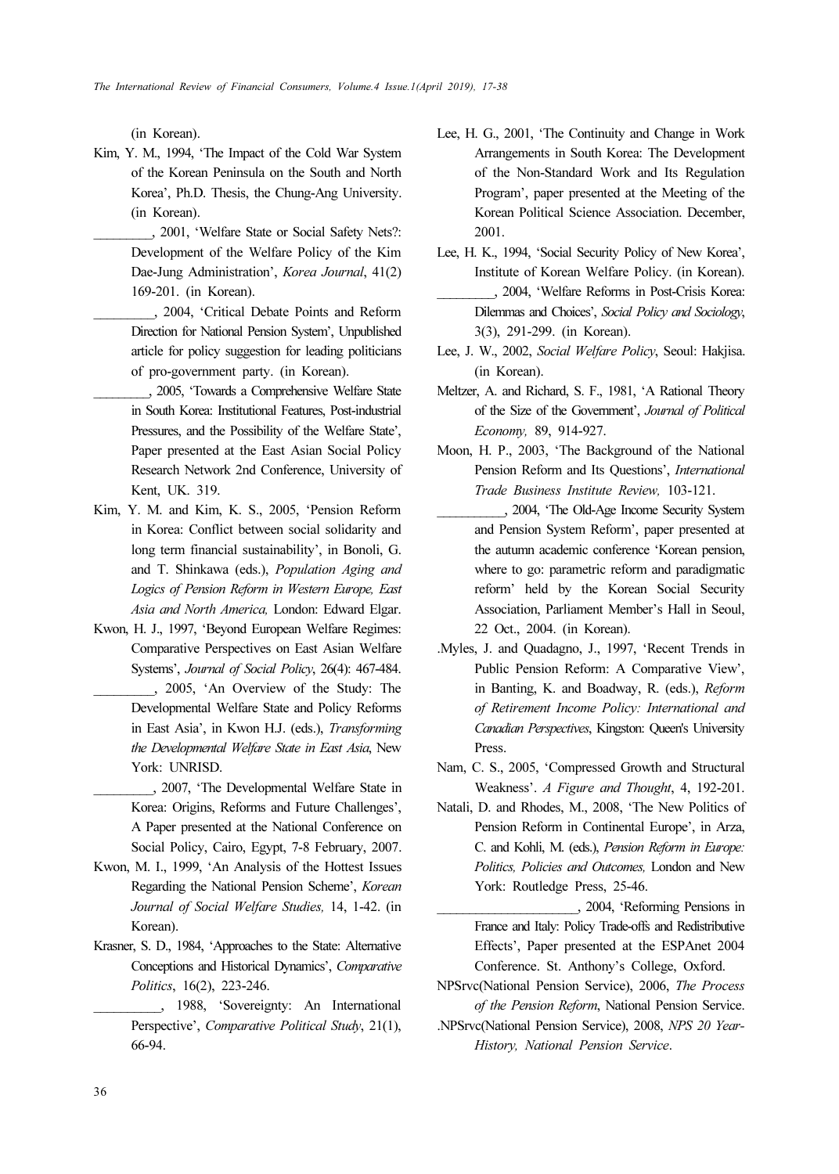(in Korean).

- Kim, Y. M., 1994, 'The Impact of the Cold War System of the Korean Peninsula on the South and North Korea', Ph.D. Thesis, the Chung-Ang University. (in Korean).
	- \_\_\_\_\_\_\_\_\_, 2001, 'Welfare State or Social Safety Nets?: Development of the Welfare Policy of the Kim Dae-Jung Administration', Korea Journal, 41(2) 169-201. (in Korean).
	- \_\_\_\_\_\_\_\_\_, 2004, 'Critical Debate Points and Reform Direction for National Pension System', Unpublished article for policy suggestion for leading politicians of pro-government party. (in Korean).
- \_\_\_\_\_\_\_\_\_, 2005, 'Towards a Comprehensive Welfare State in South Korea: Institutional Features, Post-industrial Pressures, and the Possibility of the Welfare State', Paper presented at the East Asian Social Policy Research Network 2nd Conference, University of Kent, UK. 319.
- Kim, Y. M. and Kim, K. S., 2005, 'Pension Reform in Korea: Conflict between social solidarity and long term financial sustainability', in Bonoli, G. and T. Shinkawa (eds.), Population Aging and Logics of Pension Reform in Western Europe, East Asia and North America, London: Edward Elgar.
- Kwon, H. J., 1997, 'Beyond European Welfare Regimes: Comparative Perspectives on East Asian Welfare Systems', Journal of Social Policy, 26(4): 467-484. \_\_\_\_\_\_\_\_\_, 2005, 'An Overview of the Study: The Developmental Welfare State and Policy Reforms
	- in East Asia', in Kwon H.J. (eds.), Transforming the Developmental Welfare State in East Asia, New York: UNRISD.
	- \_\_\_\_\_\_\_\_\_, 2007, 'The Developmental Welfare State in Korea: Origins, Reforms and Future Challenges', A Paper presented at the National Conference on Social Policy, Cairo, Egypt, 7-8 February, 2007.
- Kwon, M. I., 1999, 'An Analysis of the Hottest Issues Regarding the National Pension Scheme', Korean Journal of Social Welfare Studies, 14, 1-42. (in Korean).
- Krasner, S. D., 1984, 'Approaches to the State: Alternative Conceptions and Historical Dynamics', Comparative Politics, 16(2), 223-246.
- \_\_\_\_\_\_\_\_\_\_, 1988, 'Sovereignty: An International Perspective', Comparative Political Study, 21(1), 66-94.
- Lee, H. G., 2001, 'The Continuity and Change in Work Arrangements in South Korea: The Development of the Non-Standard Work and Its Regulation Program', paper presented at the Meeting of the Korean Political Science Association. December, 2001.
- Lee, H. K., 1994, 'Social Security Policy of New Korea', Institute of Korean Welfare Policy. (in Korean). \_\_\_\_\_\_\_\_\_, 2004, 'Welfare Reforms in Post-Crisis Korea: Dilemmas and Choices', Social Policy and Sociology, 3(3), 291-299. (in Korean).
- Lee, J. W., 2002, Social Welfare Policy, Seoul: Hakjisa. (in Korean).
- Meltzer, A. and Richard, S. F., 1981, 'A Rational Theory of the Size of the Government', Journal of Political Economy, 89, 914-927.
- Moon, H. P., 2003, 'The Background of the National Pension Reform and Its Questions', International Trade Business Institute Review, 103-121.
- \_\_\_\_\_\_\_\_\_\_\_, 2004, 'The Old-Age Income Security System and Pension System Reform', paper presented at the autumn academic conference 'Korean pension, where to go: parametric reform and paradigmatic reform' held by the Korean Social Security Association, Parliament Member's Hall in Seoul, 22 Oct., 2004. (in Korean).
- .Myles, J. and Quadagno, J., 1997, 'Recent Trends in Public Pension Reform: A Comparative View', in Banting, K. and Boadway, R. (eds.), Reform of Retirement Income Policy: International and Canadian Perspectives, Kingston: Queen's University Press.
- Nam, C. S., 2005, 'Compressed Growth and Structural Weakness'. A Figure and Thought, 4, 192-201.
- Natali, D. and Rhodes, M., 2008, 'The New Politics of Pension Reform in Continental Europe', in Arza, C. and Kohli, M. (eds.), Pension Reform in Europe: Politics, Policies and Outcomes, London and New York: Routledge Press, 25-46.
- \_\_\_\_\_\_\_\_\_\_\_\_\_\_\_\_\_\_\_\_\_\_, 2004, 'Reforming Pensions in France and Italy: Policy Trade-offs and Redistributive Effects', Paper presented at the ESPAnet 2004 Conference. St. Anthony's College, Oxford.
- NPSrvc(National Pension Service), 2006, The Process of the Pension Reform, National Pension Service.
- .NPSrvc(National Pension Service), 2008, NPS 20 Year-History, National Pension Service.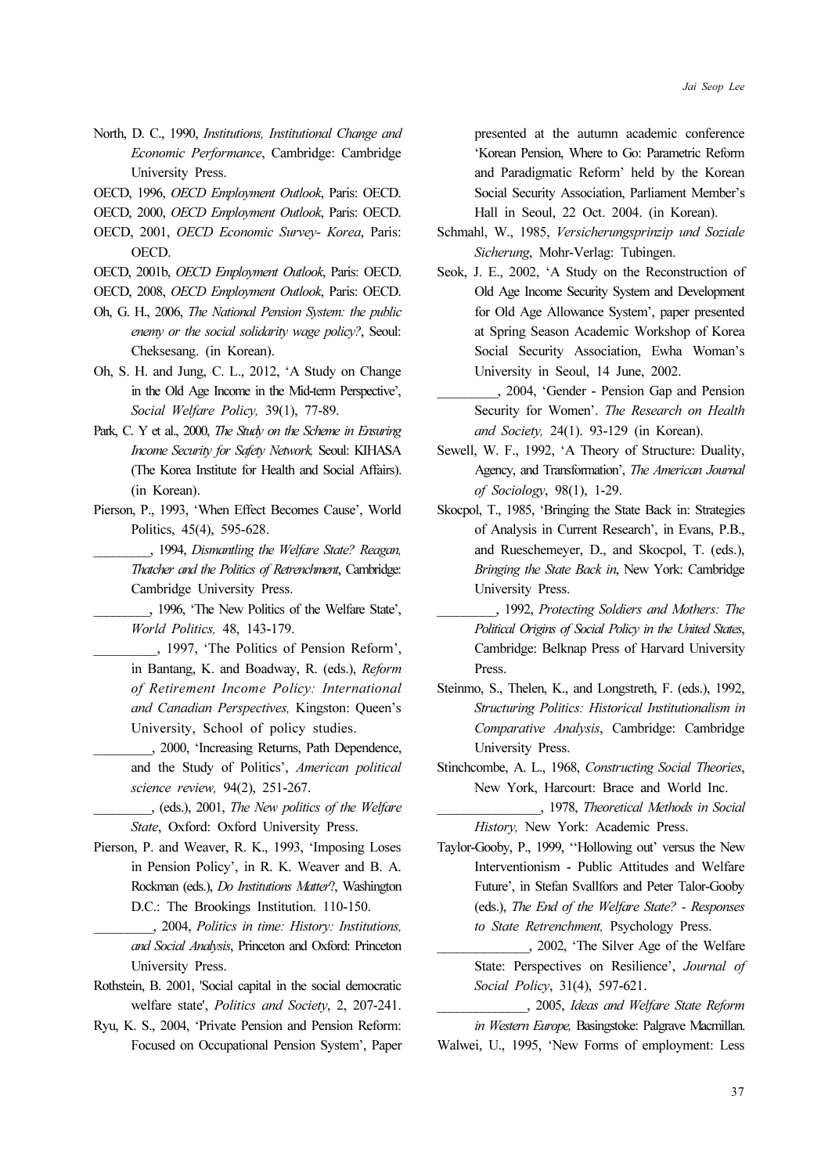- North, D. C., 1990, Institutions, Institutional Change and Economic Performance, Cambridge: Cambridge University Press.
- OECD, 1996, OECD Employment Outlook, Paris: OECD.
- OECD, 2000, OECD Employment Outlook, Paris: OECD.
- OECD, 2001, OECD Economic Survey- Korea, Paris: OECD.
- OECD, 2001b, OECD Employment Outlook, Paris: OECD.
- OECD, 2008, OECD Employment Outlook, Paris: OECD.
- Oh, G. H., 2006, The National Pension System: the public enemy or the social solidarity wage policy?, Seoul: Cheksesang. (in Korean).
- Oh, S. H. and Jung, C. L., 2012, 'A Study on Change in the Old Age Income in the Mid-term Perspective', Social Welfare Policy, 39(1), 77-89.
- Park, C. Y et al., 2000, The Study on the Scheme in Ensuring Income Security for Safety Network, Seoul: KIHASA (The Korea Institute for Health and Social Affairs). (in Korean).
- Pierson, P., 1993, 'When Effect Becomes Cause', World Politics, 45(4), 595-628.
- \_\_\_\_\_\_\_\_\_, 1994, Dismantling the Welfare State? Reagan, Thatcher and the Politics of Retrenchment, Cambridge: Cambridge University Press.
- \_\_\_\_\_\_\_\_\_, 1996, 'The New Politics of the Welfare State', World Politics, 48, 143-179.
	- \_\_\_\_\_\_\_\_\_, 1997, 'The Politics of Pension Reform', in Bantang, K. and Boadway, R. (eds.), Reform of Retirement Income Policy: International and Canadian Perspectives, Kingston: Queen's University, School of policy studies.
	- \_\_\_\_\_\_\_\_\_, 2000, 'Increasing Returns, Path Dependence, and the Study of Politics', American political science review, 94(2), 251-267.
	- \_\_\_\_\_\_\_\_\_, (eds.), 2001, The New politics of the Welfare State, Oxford: Oxford University Press.
- Pierson, P. and Weaver, R. K., 1993, 'Imposing Loses in Pension Policy', in R. K. Weaver and B. A. Rockman (eds.), Do Institutions Matter?, Washington D.C.: The Brookings Institution. 110-150.
	- \_\_\_\_\_\_\_\_\_, 2004, Politics in time: History: Institutions, and Social Analysis, Princeton and Oxford: Princeton University Press.
- Rothstein, B. 2001, 'Social capital in the social democratic welfare state', Politics and Society, 2, 207-241.
- Ryu, K. S., 2004, 'Private Pension and Pension Reform: Focused on Occupational Pension System', Paper

presented at the autumn academic conference 'Korean Pension, Where to Go: Parametric Reform and Paradigmatic Reform' held by the Korean Social Security Association, Parliament Member's Hall in Seoul, 22 Oct. 2004. (in Korean).

- Schmahl, W., 1985, Versicherungsprinzip und Soziale Sicherung, Mohr-Verlag: Tubingen.
- Seok, J. E., 2002, 'A Study on the Reconstruction of Old Age Income Security System and Development for Old Age Allowance System', paper presented at Spring Season Academic Workshop of Korea Social Security Association, Ewha Woman's University in Seoul, 14 June, 2002.
- \_\_\_\_\_\_\_\_\_, 2004, 'Gender Pension Gap and Pension Security for Women'. The Research on Health and Society, 24(1). 93-129 (in Korean).
- Sewell, W. F., 1992, 'A Theory of Structure: Duality, Agency, and Transformation', The American Journal of Sociology, 98(1), 1-29.
- Skocpol, T., 1985, 'Bringing the State Back in: Strategies of Analysis in Current Research', in Evans, P.B., and Rueschemeyer, D., and Skocpol, T. (eds.), Bringing the State Back in, New York: Cambridge University Press.
- \_\_\_\_\_\_\_\_\_, 1992, Protecting Soldiers and Mothers: The Political Origins of Social Policy in the United States, Cambridge: Belknap Press of Harvard University Press.
- Steinmo, S., Thelen, K., and Longstreth, F. (eds.), 1992, Structuring Politics: Historical Institutionalism in Comparative Analysis, Cambridge: Cambridge University Press.
- Stinchcombe, A. L., 1968, Constructing Social Theories, New York, Harcourt: Brace and World Inc.
	- \_\_\_\_\_\_\_\_\_\_\_\_\_\_\_\_, 1978, Theoretical Methods in Social History, New York: Academic Press.
- Taylor-Gooby, P., 1999, ''Hollowing out' versus the New Interventionism - Public Attitudes and Welfare Future', in Stefan Svallfors and Peter Talor-Gooby (eds.), The End of the Welfare State? - Responses to State Retrenchment, Psychology Press.
	- \_\_\_\_\_\_\_\_\_\_\_\_\_\_, 2002, 'The Silver Age of the Welfare State: Perspectives on Resilience', Journal of Social Policy, 31(4), 597-621.
- \_\_\_\_\_\_\_\_\_\_\_\_\_\_, 2005, Ideas and Welfare State Reform in Western Europe, Basingstoke: Palgrave Macmillan. Walwei, U., 1995, 'New Forms of employment: Less